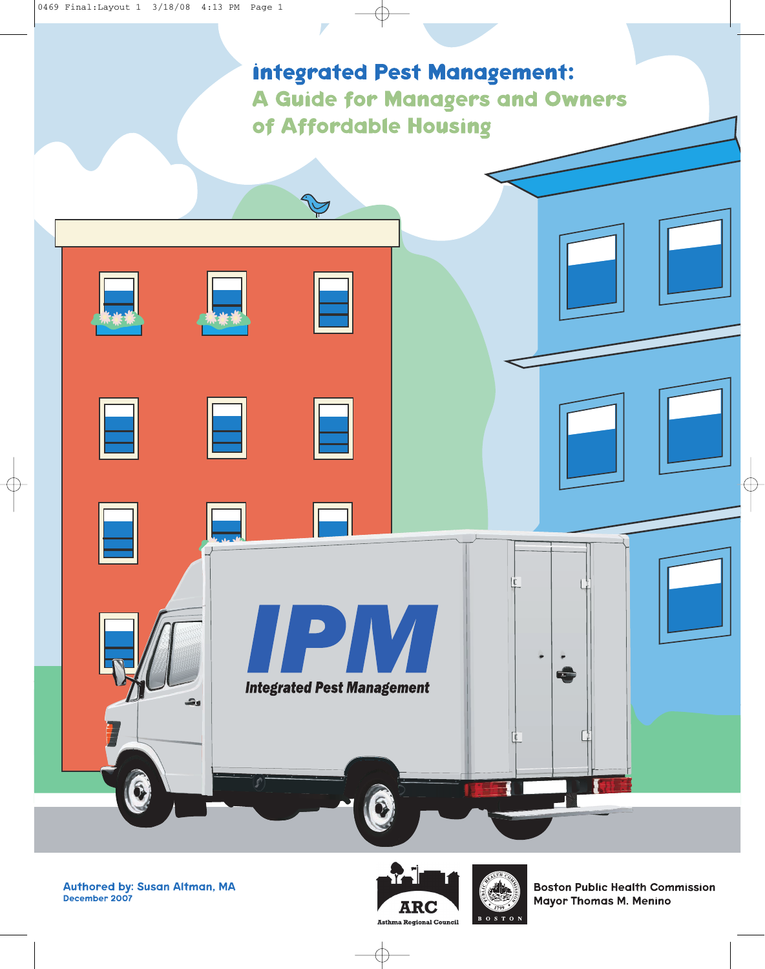





**Boston Public Health Commission Mayor Thomas M. Menino**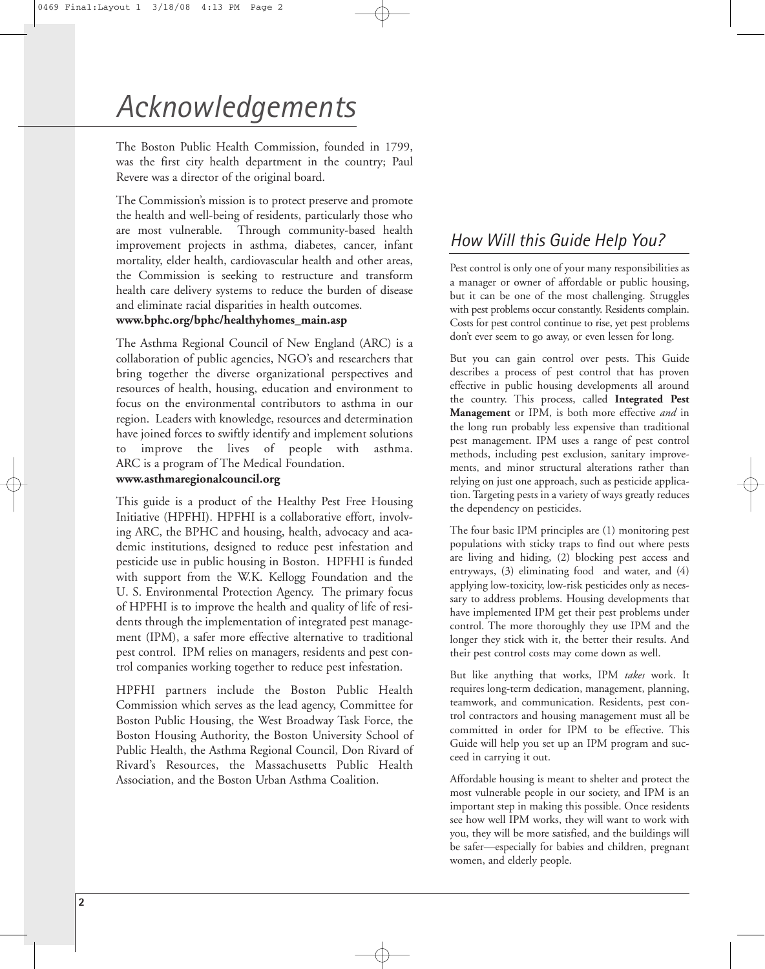## *Acknowledgements*

The Boston Public Health Commission, founded in 1799, was the first city health department in the country; Paul Revere was a director of the original board.

The Commission's mission is to protect preserve and promote the health and well-being of residents, particularly those who are most vulnerable. Through community-based health improvement projects in asthma, diabetes, cancer, infant mortality, elder health, cardiovascular health and other areas, the Commission is seeking to restructure and transform health care delivery systems to reduce the burden of disease and eliminate racial disparities in health outcomes. **www.bphc.org/bphc/healthyhomes\_main.asp**

The Asthma Regional Council of New England (ARC) is a collaboration of public agencies, NGO's and researchers that bring together the diverse organizational perspectives and resources of health, housing, education and environment to focus on the environmental contributors to asthma in our region. Leaders with knowledge, resources and determination have joined forces to swiftly identify and implement solutions to improve the lives of people with asthma. ARC is a program of The Medical Foundation.

#### **www.asthmaregionalcouncil.org**

This guide is a product of the Healthy Pest Free Housing Initiative (HPFHI). HPFHI is a collaborative effort, involving ARC, the BPHC and housing, health, advocacy and academic institutions, designed to reduce pest infestation and pesticide use in public housing in Boston. HPFHI is funded with support from the W.K. Kellogg Foundation and the U. S. Environmental Protection Agency. The primary focus of HPFHI is to improve the health and quality of life of residents through the implementation of integrated pest management (IPM), a safer more effective alternative to traditional pest control. IPM relies on managers, residents and pest control companies working together to reduce pest infestation.

HPFHI partners include the Boston Public Health Commission which serves as the lead agency, Committee for Boston Public Housing, the West Broadway Task Force, the Boston Housing Authority, the Boston University School of Public Health, the Asthma Regional Council, Don Rivard of Rivard's Resources, the Massachusetts Public Health Association, and the Boston Urban Asthma Coalition.

## *How Will this Guide Help You?*

Pest control is only one of your many responsibilities as a manager or owner of affordable or public housing, but it can be one of the most challenging. Struggles with pest problems occur constantly. Residents complain. Costs for pest control continue to rise, yet pest problems don't ever seem to go away, or even lessen for long.

But you can gain control over pests. This Guide describes a process of pest control that has proven effective in public housing developments all around the country. This process, called **Integrated Pest Management** or IPM, is both more effective *and* in the long run probably less expensive than traditional pest management. IPM uses a range of pest control methods, including pest exclusion, sanitary improvements, and minor structural alterations rather than relying on just one approach, such as pesticide application. Targeting pests in a variety of ways greatly reduces the dependency on pesticides.

The four basic IPM principles are (1) monitoring pest populations with sticky traps to find out where pests are living and hiding, (2) blocking pest access and entryways, (3) eliminating food and water, and (4) applying low-toxicity, low-risk pesticides only as necessary to address problems. Housing developments that have implemented IPM get their pest problems under control. The more thoroughly they use IPM and the longer they stick with it, the better their results. And their pest control costs may come down as well.

But like anything that works, IPM *takes* work. It requires long-term dedication, management, planning, teamwork, and communication. Residents, pest control contractors and housing management must all be committed in order for IPM to be effective. This Guide will help you set up an IPM program and succeed in carrying it out.

Affordable housing is meant to shelter and protect the most vulnerable people in our society, and IPM is an important step in making this possible. Once residents see how well IPM works, they will want to work with you, they will be more satisfied, and the buildings will be safer—especially for babies and children, pregnant women, and elderly people.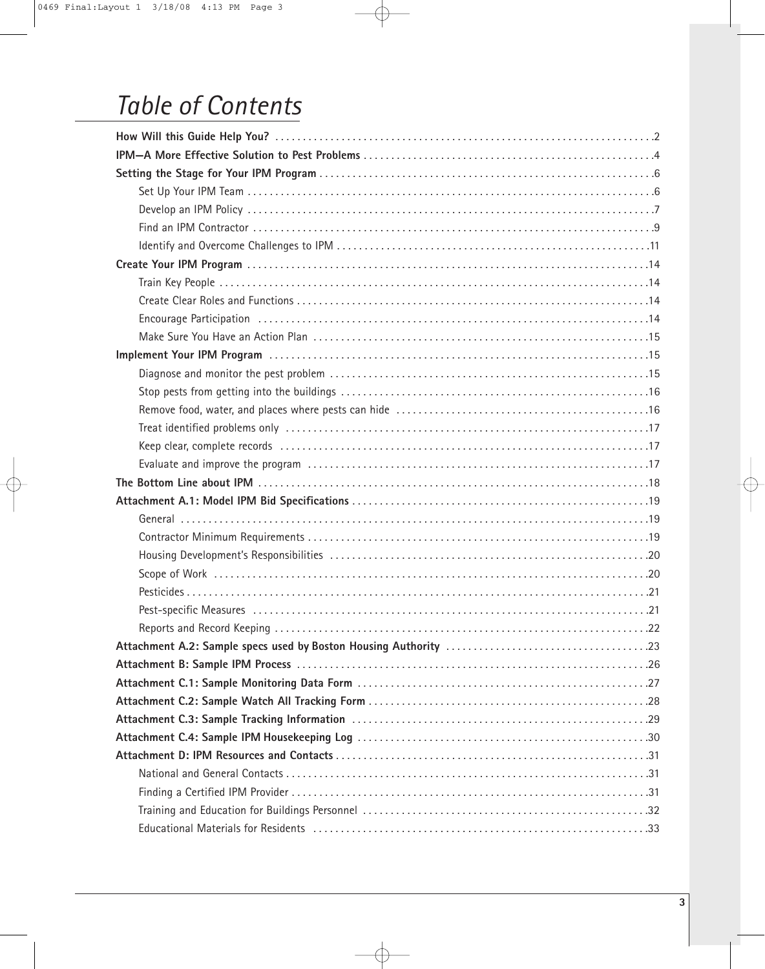## *Table of Contents*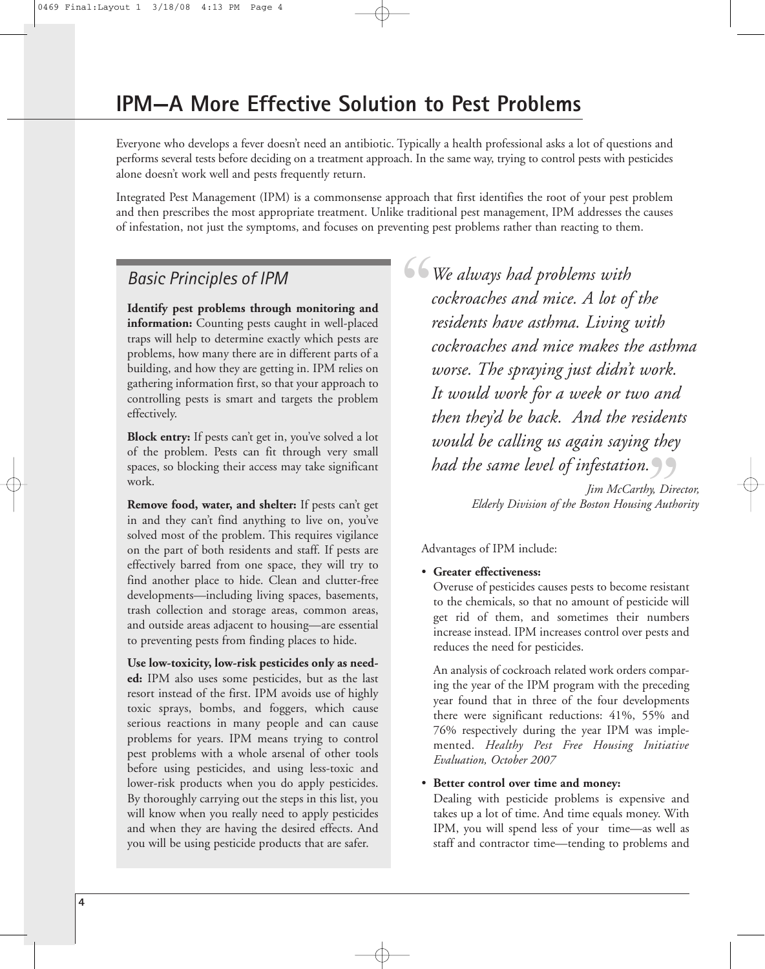Everyone who develops a fever doesn't need an antibiotic. Typically a health professional asks a lot of questions and performs several tests before deciding on a treatment approach. In the same way, trying to control pests with pesticides alone doesn't work well and pests frequently return.

Integrated Pest Management (IPM) is a commonsense approach that first identifies the root of your pest problem and then prescribes the most appropriate treatment. Unlike traditional pest management, IPM addresses the causes of infestation, not just the symptoms, and focuses on preventing pest problems rather than reacting to them.

### *Basic Principles of IPM*

**Identify pest problems through monitoring and information:** Counting pests caught in well-placed traps will help to determine exactly which pests are problems, how many there are in different parts of a building, and how they are getting in. IPM relies on gathering information first, so that your approach to controlling pests is smart and targets the problem effectively.

**Block entry:** If pests can't get in, you've solved a lot of the problem. Pests can fit through very small spaces, so blocking their access may take significant work.

**Remove food, water, and shelter:** If pests can't get in and they can't find anything to live on, you've solved most of the problem. This requires vigilance on the part of both residents and staff. If pests are effectively barred from one space, they will try to find another place to hide. Clean and clutter-free developments—including living spaces, basements, trash collection and storage areas, common areas, and outside areas adjacent to housing—are essential to preventing pests from finding places to hide.

**Use low-toxicity, low-risk pesticides only as needed:** IPM also uses some pesticides, but as the last resort instead of the first. IPM avoids use of highly toxic sprays, bombs, and foggers, which cause serious reactions in many people and can cause problems for years. IPM means trying to control pest problems with a whole arsenal of other tools before using pesticides, and using less-toxic and lower-risk products when you do apply pesticides. By thoroughly carrying out the steps in this list, you will know when you really need to apply pesticides and when they are having the desired effects. And you will be using pesticide products that are safer.

 $\frac{66}{4}$ *We always had problems with cockroaches and mice. A lot of the residents have asthma. Living with cockroaches and mice makes the asthma worse. The spraying just didn't work. It would work for a week or two and then they'd be back. And the residents would be calling us again saying they* **had the same level of infestation.**<br> *Jim McCarthy, Dive*<br> *Elderly Division of the Boston Housing Authorning* 

*Jim McCarthy, Director, Elderly Division of the Boston Housing Authority*

Advantages of IPM include:

#### • **Greater effectiveness:**

Overuse of pesticides causes pests to become resistant to the chemicals, so that no amount of pesticide will get rid of them, and sometimes their numbers increase instead. IPM increases control over pests and reduces the need for pesticides.

An analysis of cockroach related work orders comparing the year of the IPM program with the preceding year found that in three of the four developments there were significant reductions: 41%, 55% and 76% respectively during the year IPM was implemented. *Healthy Pest Free Housing Initiative Evaluation, October 2007*

#### • **Better control over time and money:**

Dealing with pesticide problems is expensive and takes up a lot of time. And time equals money. With IPM, you will spend less of your time—as well as staff and contractor time—tending to problems and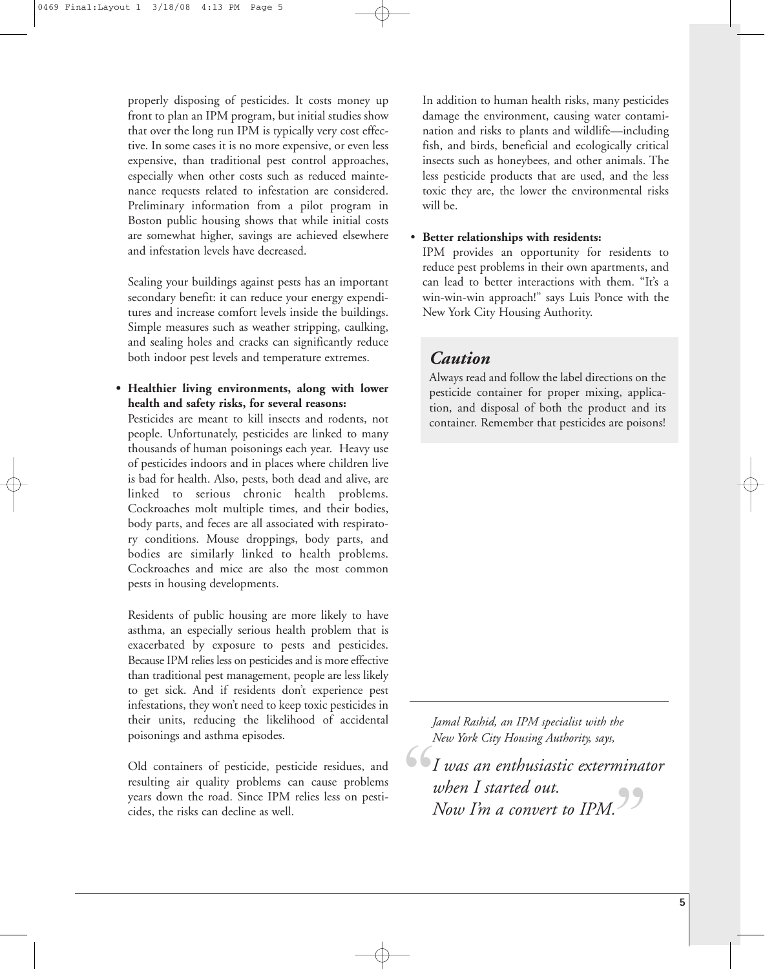properly disposing of pesticides. It costs money up front to plan an IPM program, but initial studies show that over the long run IPM is typically very cost effective. In some cases it is no more expensive, or even less expensive, than traditional pest control approaches, especially when other costs such as reduced maintenance requests related to infestation are considered. Preliminary information from a pilot program in Boston public housing shows that while initial costs are somewhat higher, savings are achieved elsewhere and infestation levels have decreased.

Sealing your buildings against pests has an important secondary benefit: it can reduce your energy expenditures and increase comfort levels inside the buildings. Simple measures such as weather stripping, caulking, and sealing holes and cracks can significantly reduce both indoor pest levels and temperature extremes.

**• Healthier living environments, along with lower health and safety risks, for several reasons:**

Pesticides are meant to kill insects and rodents, not people. Unfortunately, pesticides are linked to many thousands of human poisonings each year. Heavy use of pesticides indoors and in places where children live is bad for health. Also, pests, both dead and alive, are linked to serious chronic health problems. Cockroaches molt multiple times, and their bodies, body parts, and feces are all associated with respiratory conditions. Mouse droppings, body parts, and bodies are similarly linked to health problems. Cockroaches and mice are also the most common pests in housing developments.

Residents of public housing are more likely to have asthma, an especially serious health problem that is exacerbated by exposure to pests and pesticides. Because IPM relies less on pesticides and is more effective than traditional pest management, people are less likely to get sick. And if residents don't experience pest infestations, they won't need to keep toxic pesticides in their units, reducing the likelihood of accidental poisonings and asthma episodes.

Old containers of pesticide, pesticide residues, and resulting air quality problems can cause problems years down the road. Since IPM relies less on pesticides, the risks can decline as well.

In addition to human health risks, many pesticides damage the environment, causing water contamination and risks to plants and wildlife—including fish, and birds, beneficial and ecologically critical insects such as honeybees, and other animals. The less pesticide products that are used, and the less toxic they are, the lower the environmental risks will be.

#### • **Better relationships with residents:**

IPM provides an opportunity for residents to reduce pest problems in their own apartments, and can lead to better interactions with them. "It's a win-win-win approach!" says Luis Ponce with the New York City Housing Authority.

## *Caution*

Always read and follow the label directions on the pesticide container for proper mixing, application, and disposal of both the product and its container. Remember that pesticides are poisons!

*Jamal Rashid, an IPM specialist with the New York City Housing Authority, says,*

*I was an enthusiastic exterminator when I started out. Now I'm a convert to IPM.*  $\begin{bmatrix} 1 \\ 1 \\ 2 \\ 3 \end{bmatrix}$ **99**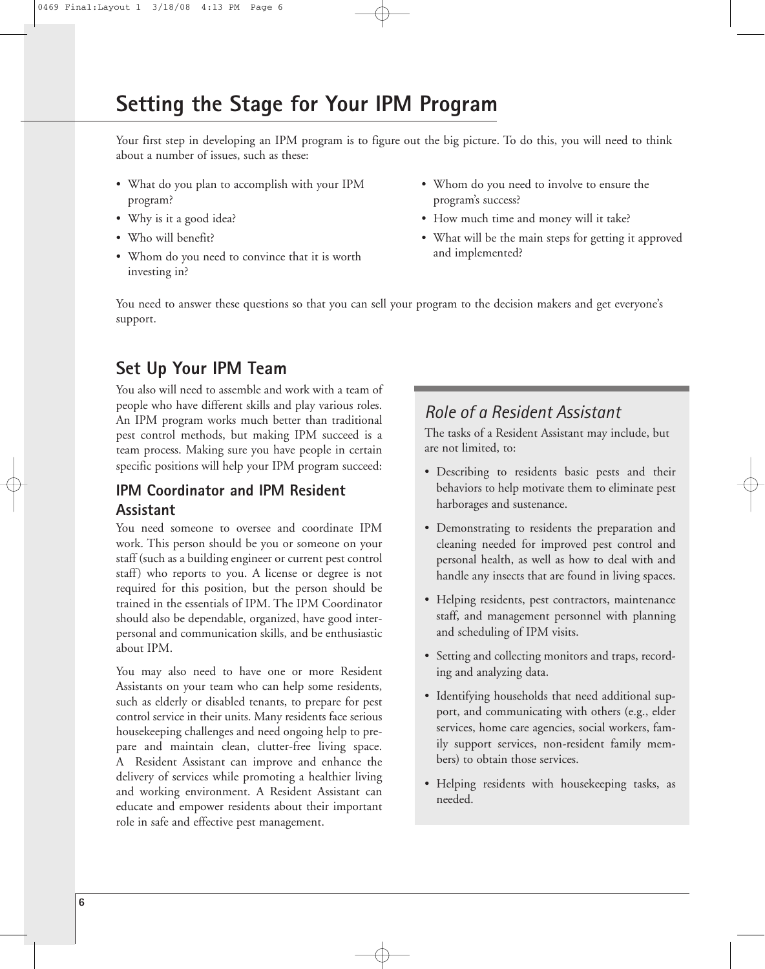## **Setting the Stage for Your IPM Program**

Your first step in developing an IPM program is to figure out the big picture. To do this, you will need to think about a number of issues, such as these:

- What do you plan to accomplish with your IPM program?
- Why is it a good idea?
- Who will benefit?
- Whom do you need to convince that it is worth investing in?
- Whom do you need to involve to ensure the program's success?
- How much time and money will it take?
- What will be the main steps for getting it approved and implemented?

You need to answer these questions so that you can sell your program to the decision makers and get everyone's support.

## **Set Up Your IPM Team**

You also will need to assemble and work with a team of people who have different skills and play various roles. An IPM program works much better than traditional pest control methods, but making IPM succeed is a team process. Making sure you have people in certain specific positions will help your IPM program succeed:

### **IPM Coordinator and IPM Resident Assistant**

You need someone to oversee and coordinate IPM work. This person should be you or someone on your staff (such as a building engineer or current pest control staff) who reports to you. A license or degree is not required for this position, but the person should be trained in the essentials of IPM. The IPM Coordinator should also be dependable, organized, have good interpersonal and communication skills, and be enthusiastic about IPM.

You may also need to have one or more Resident Assistants on your team who can help some residents, such as elderly or disabled tenants, to prepare for pest control service in their units. Many residents face serious housekeeping challenges and need ongoing help to prepare and maintain clean, clutter-free living space. A Resident Assistant can improve and enhance the delivery of services while promoting a healthier living and working environment. A Resident Assistant can educate and empower residents about their important role in safe and effective pest management.

## *Role of a Resident Assistant*

The tasks of a Resident Assistant may include, but are not limited, to:

- Describing to residents basic pests and their behaviors to help motivate them to eliminate pest harborages and sustenance.
- Demonstrating to residents the preparation and cleaning needed for improved pest control and personal health, as well as how to deal with and handle any insects that are found in living spaces.
- Helping residents, pest contractors, maintenance staff, and management personnel with planning and scheduling of IPM visits.
- Setting and collecting monitors and traps, recording and analyzing data.
- Identifying households that need additional support, and communicating with others (e.g., elder services, home care agencies, social workers, family support services, non-resident family members) to obtain those services.
- Helping residents with housekeeping tasks, as needed.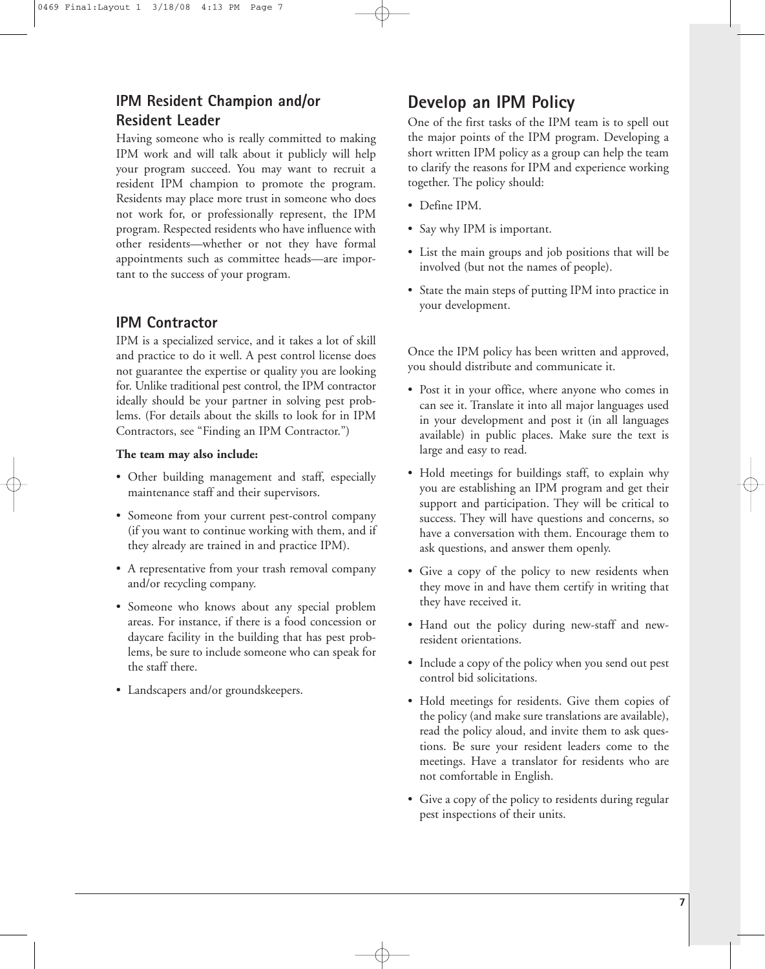### **IPM Resident Champion and/or Resident Leader**

Having someone who is really committed to making IPM work and will talk about it publicly will help your program succeed. You may want to recruit a resident IPM champion to promote the program. Residents may place more trust in someone who does not work for, or professionally represent, the IPM program. Respected residents who have influence with other residents—whether or not they have formal appointments such as committee heads—are important to the success of your program.

#### **IPM Contractor**

IPM is a specialized service, and it takes a lot of skill and practice to do it well. A pest control license does not guarantee the expertise or quality you are looking for. Unlike traditional pest control, the IPM contractor ideally should be your partner in solving pest problems. (For details about the skills to look for in IPM Contractors, see "Finding an IPM Contractor.")

#### **The team may also include:**

- Other building management and staff, especially maintenance staff and their supervisors.
- Someone from your current pest-control company (if you want to continue working with them, and if they already are trained in and practice IPM).
- A representative from your trash removal company and/or recycling company.
- Someone who knows about any special problem areas. For instance, if there is a food concession or daycare facility in the building that has pest problems, be sure to include someone who can speak for the staff there.
- Landscapers and/or groundskeepers.

## **Develop an IPM Policy**

One of the first tasks of the IPM team is to spell out the major points of the IPM program. Developing a short written IPM policy as a group can help the team to clarify the reasons for IPM and experience working together. The policy should:

- Define IPM.
- Say why IPM is important.
- List the main groups and job positions that will be involved (but not the names of people).
- State the main steps of putting IPM into practice in your development.

Once the IPM policy has been written and approved, you should distribute and communicate it.

- Post it in your office, where anyone who comes in can see it. Translate it into all major languages used in your development and post it (in all languages available) in public places. Make sure the text is large and easy to read.
- Hold meetings for buildings staff, to explain why you are establishing an IPM program and get their support and participation. They will be critical to success. They will have questions and concerns, so have a conversation with them. Encourage them to ask questions, and answer them openly.
- Give a copy of the policy to new residents when they move in and have them certify in writing that they have received it.
- Hand out the policy during new-staff and newresident orientations.
- Include a copy of the policy when you send out pest control bid solicitations.
- Hold meetings for residents. Give them copies of the policy (and make sure translations are available), read the policy aloud, and invite them to ask questions. Be sure your resident leaders come to the meetings. Have a translator for residents who are not comfortable in English.
- Give a copy of the policy to residents during regular pest inspections of their units.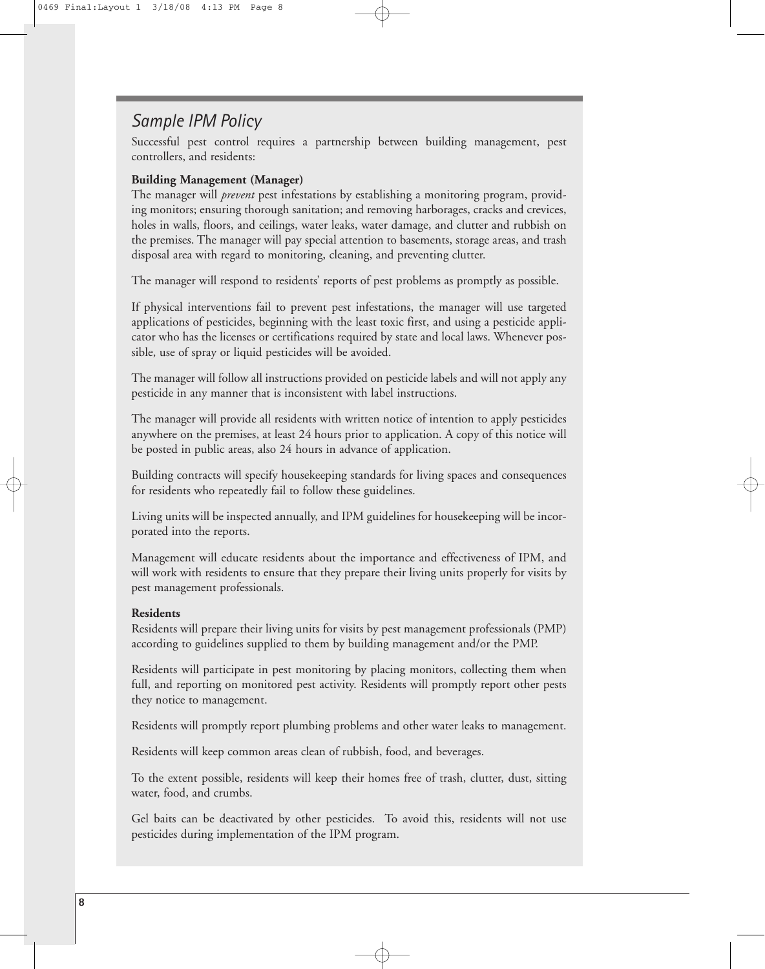## *Sample IPM Policy*

Successful pest control requires a partnership between building management, pest controllers, and residents:

#### **Building Management (Manager)**

The manager will *prevent* pest infestations by establishing a monitoring program, providing monitors; ensuring thorough sanitation; and removing harborages, cracks and crevices, holes in walls, floors, and ceilings, water leaks, water damage, and clutter and rubbish on the premises. The manager will pay special attention to basements, storage areas, and trash disposal area with regard to monitoring, cleaning, and preventing clutter.

The manager will respond to residents' reports of pest problems as promptly as possible.

If physical interventions fail to prevent pest infestations, the manager will use targeted applications of pesticides, beginning with the least toxic first, and using a pesticide applicator who has the licenses or certifications required by state and local laws. Whenever possible, use of spray or liquid pesticides will be avoided.

The manager will follow all instructions provided on pesticide labels and will not apply any pesticide in any manner that is inconsistent with label instructions.

The manager will provide all residents with written notice of intention to apply pesticides anywhere on the premises, at least 24 hours prior to application. A copy of this notice will be posted in public areas, also 24 hours in advance of application.

Building contracts will specify housekeeping standards for living spaces and consequences for residents who repeatedly fail to follow these guidelines.

Living units will be inspected annually, and IPM guidelines for housekeeping will be incorporated into the reports.

Management will educate residents about the importance and effectiveness of IPM, and will work with residents to ensure that they prepare their living units properly for visits by pest management professionals.

#### **Residents**

Residents will prepare their living units for visits by pest management professionals (PMP) according to guidelines supplied to them by building management and/or the PMP.

Residents will participate in pest monitoring by placing monitors, collecting them when full, and reporting on monitored pest activity. Residents will promptly report other pests they notice to management.

Residents will promptly report plumbing problems and other water leaks to management.

Residents will keep common areas clean of rubbish, food, and beverages.

To the extent possible, residents will keep their homes free of trash, clutter, dust, sitting water, food, and crumbs.

Gel baits can be deactivated by other pesticides. To avoid this, residents will not use pesticides during implementation of the IPM program.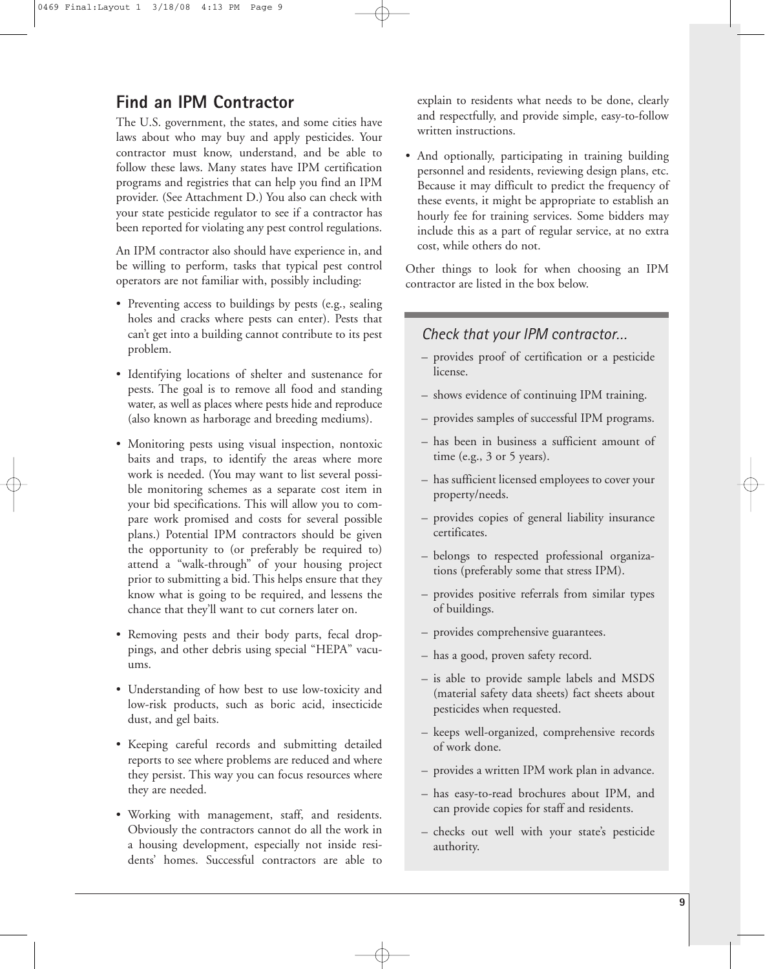## **Find an IPM Contractor**

The U.S. government, the states, and some cities have laws about who may buy and apply pesticides. Your contractor must know, understand, and be able to follow these laws. Many states have IPM certification programs and registries that can help you find an IPM provider. (See Attachment D.) You also can check with your state pesticide regulator to see if a contractor has been reported for violating any pest control regulations.

An IPM contractor also should have experience in, and be willing to perform, tasks that typical pest control operators are not familiar with, possibly including:

- Preventing access to buildings by pests (e.g., sealing holes and cracks where pests can enter). Pests that can't get into a building cannot contribute to its pest problem.
- Identifying locations of shelter and sustenance for pests. The goal is to remove all food and standing water, as well as places where pests hide and reproduce (also known as harborage and breeding mediums).
- Monitoring pests using visual inspection, nontoxic baits and traps, to identify the areas where more work is needed. (You may want to list several possible monitoring schemes as a separate cost item in your bid specifications. This will allow you to compare work promised and costs for several possible plans.) Potential IPM contractors should be given the opportunity to (or preferably be required to) attend a "walk-through" of your housing project prior to submitting a bid. This helps ensure that they know what is going to be required, and lessens the chance that they'll want to cut corners later on.
- Removing pests and their body parts, fecal droppings, and other debris using special "HEPA" vacuums.
- Understanding of how best to use low-toxicity and low-risk products, such as boric acid, insecticide dust, and gel baits.
- Keeping careful records and submitting detailed reports to see where problems are reduced and where they persist. This way you can focus resources where they are needed.
- Working with management, staff, and residents. Obviously the contractors cannot do all the work in a housing development, especially not inside residents' homes. Successful contractors are able to

explain to residents what needs to be done, clearly and respectfully, and provide simple, easy-to-follow written instructions.

• And optionally, participating in training building personnel and residents, reviewing design plans, etc. Because it may difficult to predict the frequency of these events, it might be appropriate to establish an hourly fee for training services. Some bidders may include this as a part of regular service, at no extra cost, while others do not.

Other things to look for when choosing an IPM contractor are listed in the box below.

#### *Check that your IPM contractor…*

- provides proof of certification or a pesticide license.
- shows evidence of continuing IPM training.
- provides samples of successful IPM programs.
- has been in business a sufficient amount of time (e.g.,  $3$  or  $5$  years).
- has sufficient licensed employees to cover your property/needs.
- provides copies of general liability insurance certificates.
- belongs to respected professional organizations (preferably some that stress IPM).
- provides positive referrals from similar types of buildings.
- provides comprehensive guarantees.
- has a good, proven safety record.
- is able to provide sample labels and MSDS (material safety data sheets) fact sheets about pesticides when requested.
- keeps well-organized, comprehensive records of work done.
- provides a written IPM work plan in advance.
- has easy-to-read brochures about IPM, and can provide copies for staff and residents.
- checks out well with your state's pesticide authority.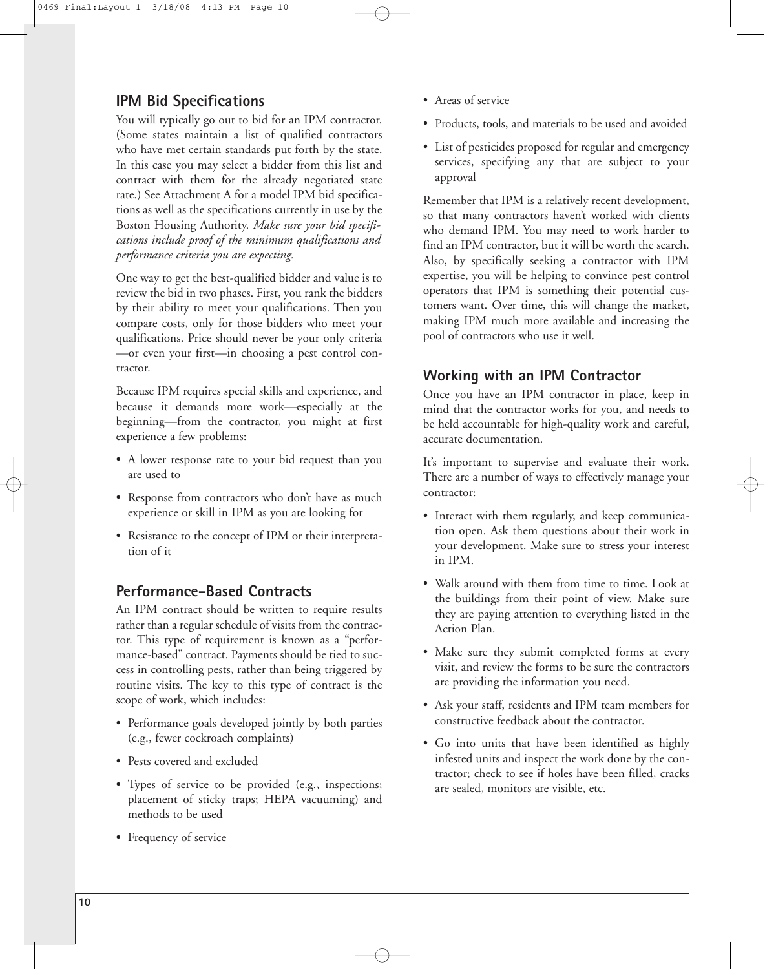### **IPM Bid Specifications**

You will typically go out to bid for an IPM contractor. (Some states maintain a list of qualified contractors who have met certain standards put forth by the state. In this case you may select a bidder from this list and contract with them for the already negotiated state rate.) See Attachment A for a model IPM bid specifications as well as the specifications currently in use by the Boston Housing Authority. *Make sure your bid specifications include proof of the minimum qualifications and performance criteria you are expecting.*

One way to get the best-qualified bidder and value is to review the bid in two phases. First, you rank the bidders by their ability to meet your qualifications. Then you compare costs, only for those bidders who meet your qualifications. Price should never be your only criteria —or even your first—in choosing a pest control contractor.

Because IPM requires special skills and experience, and because it demands more work—especially at the beginning—from the contractor, you might at first experience a few problems:

- A lower response rate to your bid request than you are used to
- Response from contractors who don't have as much experience or skill in IPM as you are looking for
- Resistance to the concept of IPM or their interpretation of it

### **Performance-Based Contracts**

An IPM contract should be written to require results rather than a regular schedule of visits from the contractor. This type of requirement is known as a "performance-based" contract. Payments should be tied to success in controlling pests, rather than being triggered by routine visits. The key to this type of contract is the scope of work, which includes:

- Performance goals developed jointly by both parties (e.g., fewer cockroach complaints)
- Pests covered and excluded
- Types of service to be provided (e.g., inspections; placement of sticky traps; HEPA vacuuming) and methods to be used
- Frequency of service
- Areas of service
- Products, tools, and materials to be used and avoided
- List of pesticides proposed for regular and emergency services, specifying any that are subject to your approval

Remember that IPM is a relatively recent development, so that many contractors haven't worked with clients who demand IPM. You may need to work harder to find an IPM contractor, but it will be worth the search. Also, by specifically seeking a contractor with IPM expertise, you will be helping to convince pest control operators that IPM is something their potential customers want. Over time, this will change the market, making IPM much more available and increasing the pool of contractors who use it well.

### **Working with an IPM Contractor**

Once you have an IPM contractor in place, keep in mind that the contractor works for you, and needs to be held accountable for high-quality work and careful, accurate documentation.

It's important to supervise and evaluate their work. There are a number of ways to effectively manage your contractor:

- Interact with them regularly, and keep communication open. Ask them questions about their work in your development. Make sure to stress your interest in IPM.
- Walk around with them from time to time. Look at the buildings from their point of view. Make sure they are paying attention to everything listed in the Action Plan.
- Make sure they submit completed forms at every visit, and review the forms to be sure the contractors are providing the information you need.
- Ask your staff, residents and IPM team members for constructive feedback about the contractor.
- Go into units that have been identified as highly infested units and inspect the work done by the contractor; check to see if holes have been filled, cracks are sealed, monitors are visible, etc.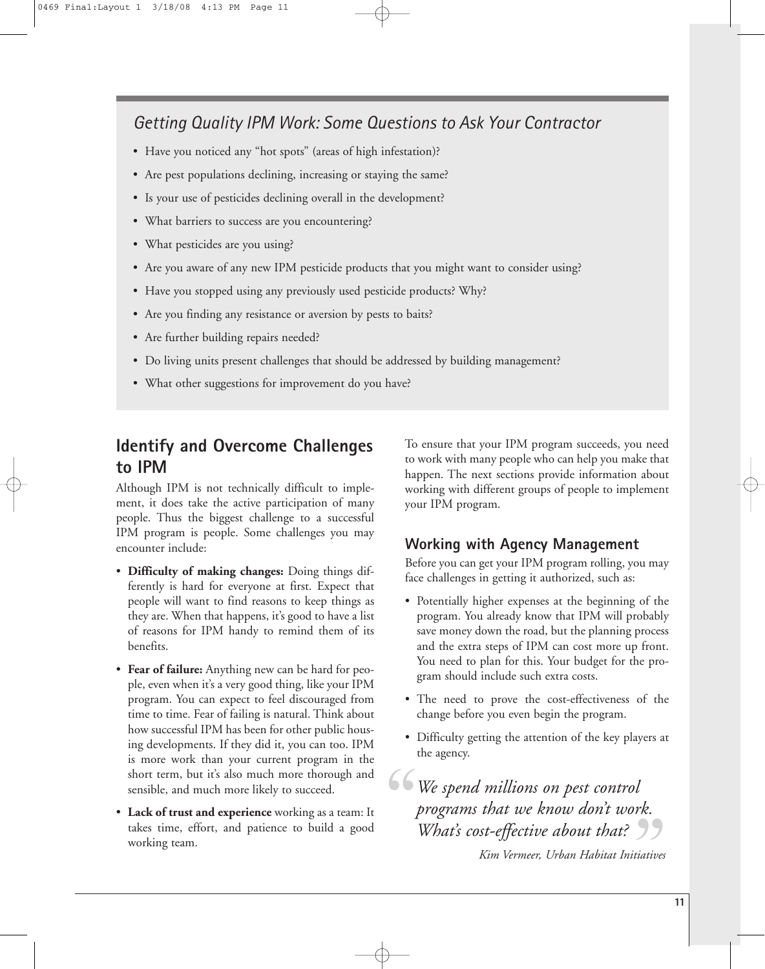## *Getting Quality IPM Work: Some Questions to Ask Your Contractor*

- Have you noticed any "hot spots" (areas of high infestation)?
- Are pest populations declining, increasing or staying the same?
- Is your use of pesticides declining overall in the development?
- What barriers to success are you encountering?
- What pesticides are you using?
- Are you aware of any new IPM pesticide products that you might want to consider using?
- Have you stopped using any previously used pesticide products? Why?
- Are you finding any resistance or aversion by pests to baits?
- Are further building repairs needed?
- Do living units present challenges that should be addressed by building management?
- What other suggestions for improvement do you have?

## **Identify and Overcome Challenges to IPM**

Although IPM is not technically difficult to implement, it does take the active participation of many people. Thus the biggest challenge to a successful IPM program is people. Some challenges you may encounter include:

- **Difficulty of making changes:** Doing things differently is hard for everyone at first. Expect that people will want to find reasons to keep things as they are. When that happens, it's good to have a list of reasons for IPM handy to remind them of its benefits.
- **Fear of failure:** Anything new can be hard for people, even when it's a very good thing, like your IPM program. You can expect to feel discouraged from time to time. Fear of failing is natural. Think about how successful IPM has been for other public housing developments. If they did it, you can too. IPM is more work than your current program in the short term, but it's also much more thorough and sensible, and much more likely to succeed.
- **Lack of trust and experience** working as a team: It takes time, effort, and patience to build a good working team.

To ensure that your IPM program succeeds, you need to work with many people who can help you make that happen. The next sections provide information about working with different groups of people to implement your IPM program.

#### **Working with Agency Management**

Before you can get your IPM program rolling, you may face challenges in getting it authorized, such as:

- Potentially higher expenses at the beginning of the program. You already know that IPM will probably save money down the road, but the planning process and the extra steps of IPM can cost more up front. You need to plan for this. Your budget for the program should include such extra costs.
- The need to prove the cost-effectiveness of the change before you even begin the program.
- Difficulty getting the attention of the key players at the agency.

*We spend millions on pest control programs that we know don't work. What's cost-effective about that? Kim Vermeer, Urban Habitat Initiatives* " rk.<br>99<br>tiatives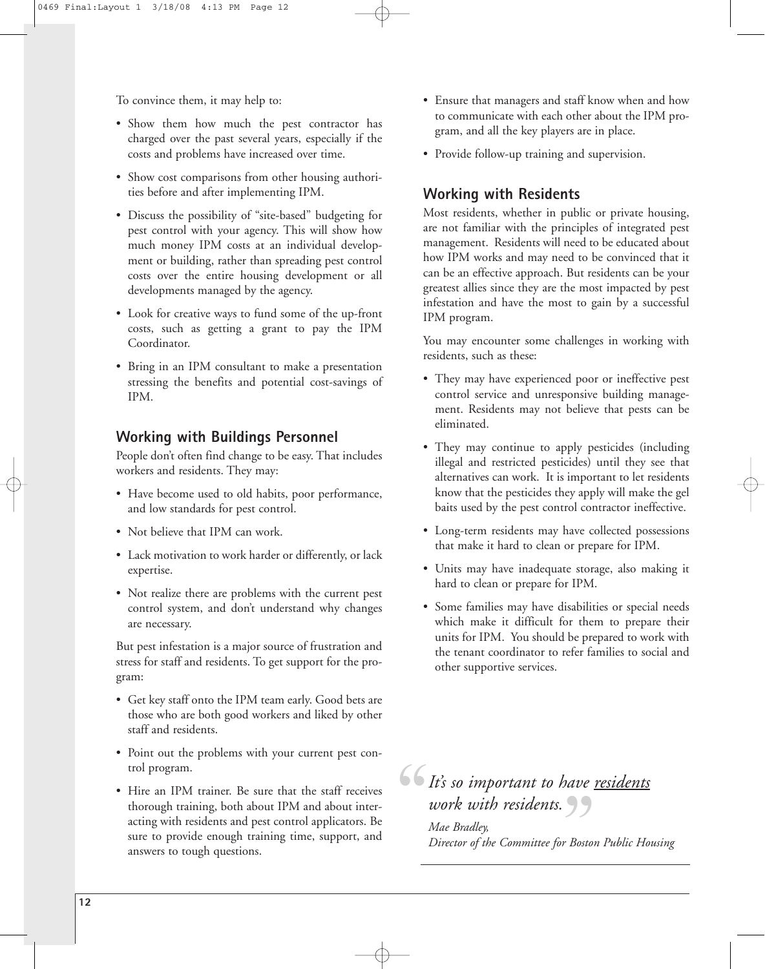To convince them, it may help to:

- Show them how much the pest contractor has charged over the past several years, especially if the costs and problems have increased over time.
- Show cost comparisons from other housing authorities before and after implementing IPM.
- Discuss the possibility of "site-based" budgeting for pest control with your agency. This will show how much money IPM costs at an individual development or building, rather than spreading pest control costs over the entire housing development or all developments managed by the agency.
- Look for creative ways to fund some of the up-front costs, such as getting a grant to pay the IPM Coordinator.
- Bring in an IPM consultant to make a presentation stressing the benefits and potential cost-savings of IPM.

#### **Working with Buildings Personnel**

People don't often find change to be easy. That includes workers and residents. They may:

- Have become used to old habits, poor performance, and low standards for pest control.
- Not believe that IPM can work.
- Lack motivation to work harder or differently, or lack expertise.
- Not realize there are problems with the current pest control system, and don't understand why changes are necessary.

But pest infestation is a major source of frustration and stress for staff and residents. To get support for the program:

- Get key staff onto the IPM team early. Good bets are those who are both good workers and liked by other staff and residents.
- Point out the problems with your current pest control program.
- Hire an IPM trainer. Be sure that the staff receives thorough training, both about IPM and about interacting with residents and pest control applicators. Be sure to provide enough training time, support, and answers to tough questions.
- Ensure that managers and staff know when and how to communicate with each other about the IPM program, and all the key players are in place.
- Provide follow-up training and supervision.

#### **Working with Residents**

Most residents, whether in public or private housing, are not familiar with the principles of integrated pest management. Residents will need to be educated about how IPM works and may need to be convinced that it can be an effective approach. But residents can be your greatest allies since they are the most impacted by pest infestation and have the most to gain by a successful IPM program.

You may encounter some challenges in working with residents, such as these:

- They may have experienced poor or ineffective pest control service and unresponsive building management. Residents may not believe that pests can be eliminated.
- They may continue to apply pesticides (including illegal and restricted pesticides) until they see that alternatives can work. It is important to let residents know that the pesticides they apply will make the gel baits used by the pest control contractor ineffective.
- Long-term residents may have collected possessions that make it hard to clean or prepare for IPM.
- Units may have inadequate storage, also making it hard to clean or prepare for IPM.
- Some families may have disabilities or special needs which make it difficult for them to prepare their units for IPM. You should be prepared to work with the tenant coordinator to refer families to social and other supportive services.

# *It's so important to have residents* "

*work with residents.*<br>
Mae Bradley,<br>
Director of the Committee for Bostor *Mae Bradley, Director of the Committee for Boston Public Housing*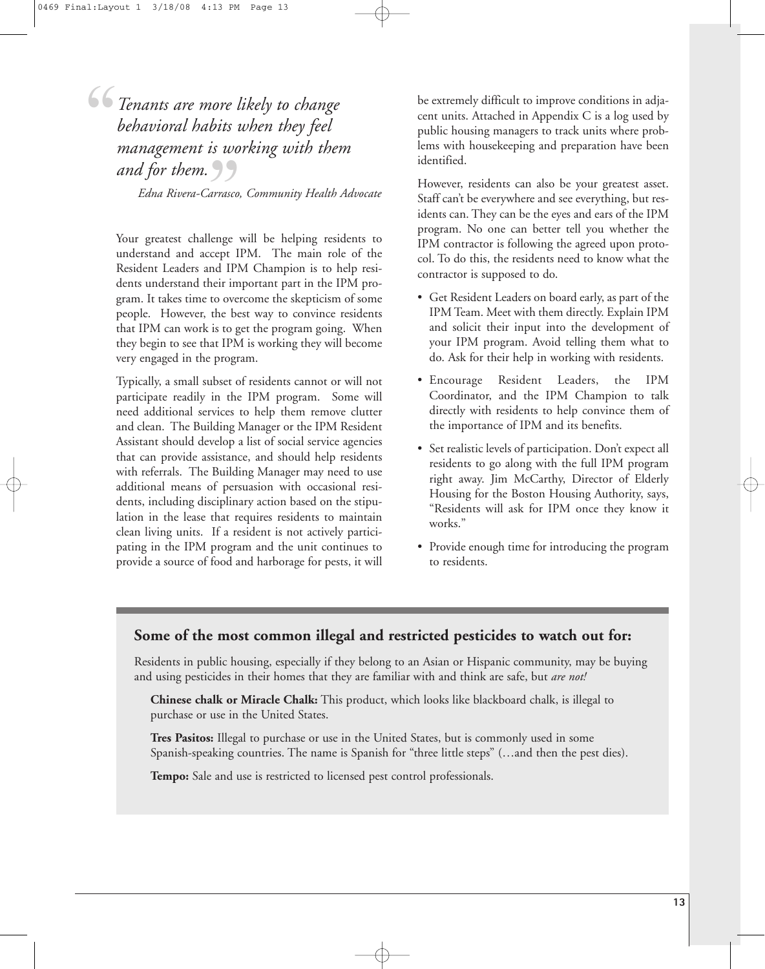*Tenants are more likely to change behavioral habits when they feel management is working with them* and for them.<br>*"Sand for them.*<br>"Edna Rivera-Carrasco,<br>"Your spectate shellenes" "

*Edna Rivera-Carrasco, Community Health Advocate*

Your greatest challenge will be helping residents to understand and accept IPM. The main role of the Resident Leaders and IPM Champion is to help residents understand their important part in the IPM program. It takes time to overcome the skepticism of some people. However, the best way to convince residents that IPM can work is to get the program going. When they begin to see that IPM is working they will become very engaged in the program.

Typically, a small subset of residents cannot or will not participate readily in the IPM program. Some will need additional services to help them remove clutter and clean. The Building Manager or the IPM Resident Assistant should develop a list of social service agencies that can provide assistance, and should help residents with referrals. The Building Manager may need to use additional means of persuasion with occasional residents, including disciplinary action based on the stipulation in the lease that requires residents to maintain clean living units. If a resident is not actively participating in the IPM program and the unit continues to provide a source of food and harborage for pests, it will

be extremely difficult to improve conditions in adjacent units. Attached in Appendix C is a log used by public housing managers to track units where problems with housekeeping and preparation have been identified.

However, residents can also be your greatest asset. Staff can't be everywhere and see everything, but residents can. They can be the eyes and ears of the IPM program. No one can better tell you whether the IPM contractor is following the agreed upon protocol. To do this, the residents need to know what the contractor is supposed to do.

- Get Resident Leaders on board early, as part of the IPM Team. Meet with them directly. Explain IPM and solicit their input into the development of your IPM program. Avoid telling them what to do. Ask for their help in working with residents.
- Encourage Resident Leaders, the IPM Coordinator, and the IPM Champion to talk directly with residents to help convince them of the importance of IPM and its benefits.
- Set realistic levels of participation. Don't expect all residents to go along with the full IPM program right away. Jim McCarthy, Director of Elderly Housing for the Boston Housing Authority, says, "Residents will ask for IPM once they know it works."
- Provide enough time for introducing the program to residents.

#### **Some of the most common illegal and restricted pesticides to watch out for:**

Residents in public housing, especially if they belong to an Asian or Hispanic community, may be buying and using pesticides in their homes that they are familiar with and think are safe, but *are not!*

**Chinese chalk or Miracle Chalk:** This product, which looks like blackboard chalk, is illegal to purchase or use in the United States.

**Tres Pasitos:** Illegal to purchase or use in the United States, but is commonly used in some Spanish-speaking countries. The name is Spanish for "three little steps" (…and then the pest dies).

**Tempo:** Sale and use is restricted to licensed pest control professionals.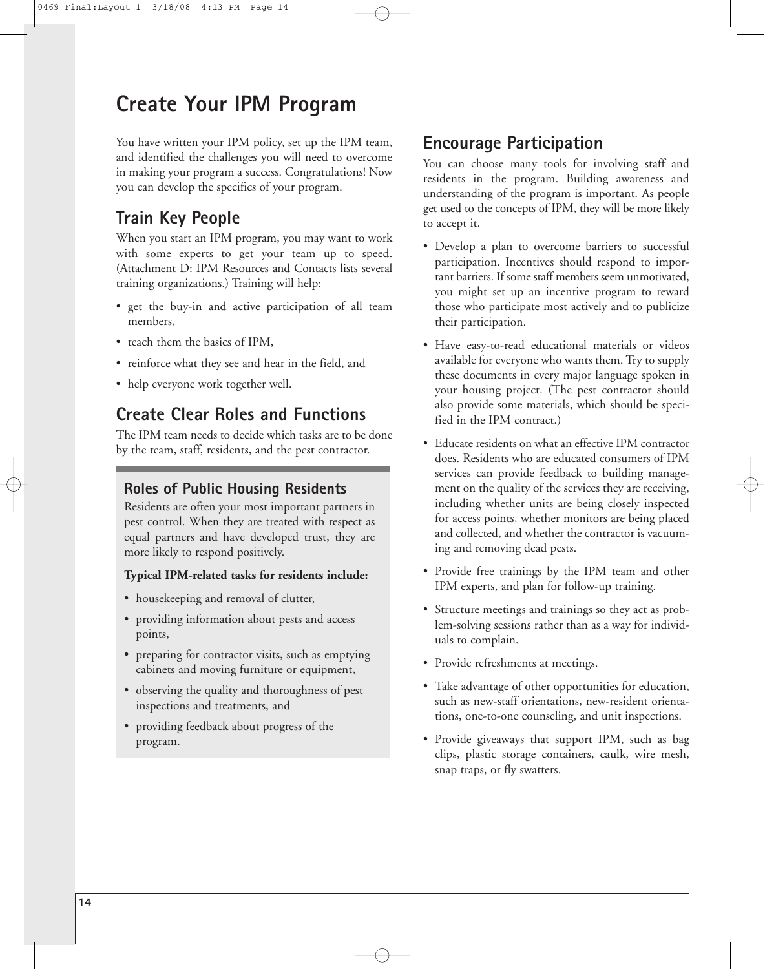## **Create Your IPM Program**

You have written your IPM policy, set up the IPM team, and identified the challenges you will need to overcome in making your program a success. Congratulations! Now you can develop the specifics of your program.

## **Train Key People**

When you start an IPM program, you may want to work with some experts to get your team up to speed. (Attachment D: IPM Resources and Contacts lists several training organizations.) Training will help:

- get the buy-in and active participation of all team members,
- teach them the basics of IPM,
- reinforce what they see and hear in the field, and
- help everyone work together well.

## **Create Clear Roles and Functions**

The IPM team needs to decide which tasks are to be done by the team, staff, residents, and the pest contractor.

### **Roles of Public Housing Residents**

Residents are often your most important partners in pest control. When they are treated with respect as equal partners and have developed trust, they are more likely to respond positively.

#### **Typical IPM-related tasks for residents include:**

- housekeeping and removal of clutter,
- providing information about pests and access points,
- preparing for contractor visits, such as emptying cabinets and moving furniture or equipment,
- observing the quality and thoroughness of pest inspections and treatments, and
- providing feedback about progress of the program.

## **Encourage Participation**

You can choose many tools for involving staff and residents in the program. Building awareness and understanding of the program is important. As people get used to the concepts of IPM, they will be more likely to accept it.

- Develop a plan to overcome barriers to successful participation. Incentives should respond to important barriers. If some staff members seem unmotivated, you might set up an incentive program to reward those who participate most actively and to publicize their participation.
- Have easy-to-read educational materials or videos available for everyone who wants them. Try to supply these documents in every major language spoken in your housing project. (The pest contractor should also provide some materials, which should be specified in the IPM contract.)
- Educate residents on what an effective IPM contractor does. Residents who are educated consumers of IPM services can provide feedback to building management on the quality of the services they are receiving, including whether units are being closely inspected for access points, whether monitors are being placed and collected, and whether the contractor is vacuuming and removing dead pests.
- Provide free trainings by the IPM team and other IPM experts, and plan for follow-up training.
- Structure meetings and trainings so they act as problem-solving sessions rather than as a way for individuals to complain.
- Provide refreshments at meetings.
- Take advantage of other opportunities for education, such as new-staff orientations, new-resident orientations, one-to-one counseling, and unit inspections.
- Provide giveaways that support IPM, such as bag clips, plastic storage containers, caulk, wire mesh, snap traps, or fly swatters.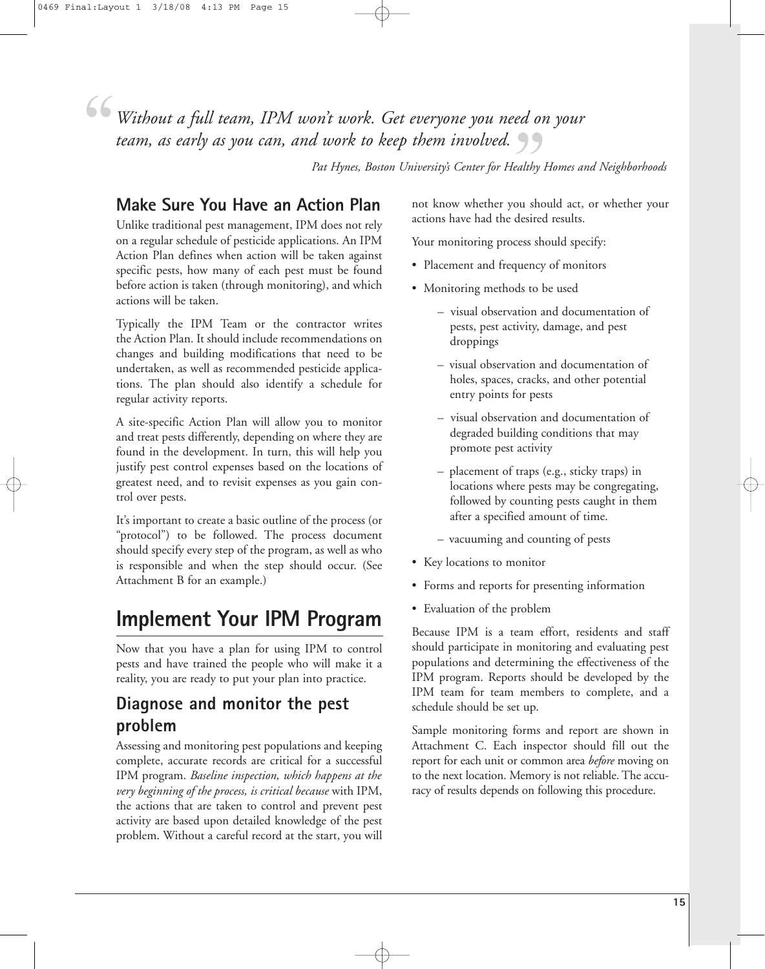" *team, as early as you can, and work to keep them involved.*<br><sup>*Pat Hynes, Boston University's Center for Healthy I*<br>**Make Sure You Have an Action Plan** and know whether you sho</sup> *Without a full team, IPM won't work. Get everyone you need on your*

*Pat Hynes, Boston University's Center for Healthy Homes and Neighborhoods*

## **Make Sure You Have an Action Plan**

Unlike traditional pest management, IPM does not rely on a regular schedule of pesticide applications. An IPM Action Plan defines when action will be taken against specific pests, how many of each pest must be found before action is taken (through monitoring), and which actions will be taken.

Typically the IPM Team or the contractor writes the Action Plan. It should include recommendations on changes and building modifications that need to be undertaken, as well as recommended pesticide applications. The plan should also identify a schedule for regular activity reports.

A site-specific Action Plan will allow you to monitor and treat pests differently, depending on where they are found in the development. In turn, this will help you justify pest control expenses based on the locations of greatest need, and to revisit expenses as you gain control over pests.

It's important to create a basic outline of the process (or "protocol") to be followed. The process document should specify every step of the program, as well as who is responsible and when the step should occur. (See Attachment B for an example.)

## **Implement Your IPM Program**

Now that you have a plan for using IPM to control pests and have trained the people who will make it a reality, you are ready to put your plan into practice.

## **Diagnose and monitor the pest problem**

Assessing and monitoring pest populations and keeping complete, accurate records are critical for a successful IPM program. *Baseline inspection, which happens at the very beginning of the process, is critical because* with IPM, the actions that are taken to control and prevent pest activity are based upon detailed knowledge of the pest problem. Without a careful record at the start, you will

not know whether you should act, or whether your actions have had the desired results.

Your monitoring process should specify:

- Placement and frequency of monitors
- Monitoring methods to be used
	- visual observation and documentation of pests, pest activity, damage, and pest droppings
	- visual observation and documentation of holes, spaces, cracks, and other potential entry points for pests
	- visual observation and documentation of degraded building conditions that may promote pest activity
	- placement of traps (e.g., sticky traps) in locations where pests may be congregating, followed by counting pests caught in them after a specified amount of time.
	- vacuuming and counting of pests
- Key locations to monitor
- Forms and reports for presenting information
- Evaluation of the problem

Because IPM is a team effort, residents and staff should participate in monitoring and evaluating pest populations and determining the effectiveness of the IPM program. Reports should be developed by the IPM team for team members to complete, and a schedule should be set up.

Sample monitoring forms and report are shown in Attachment C. Each inspector should fill out the report for each unit or common area *before* moving on to the next location. Memory is not reliable. The accuracy of results depends on following this procedure.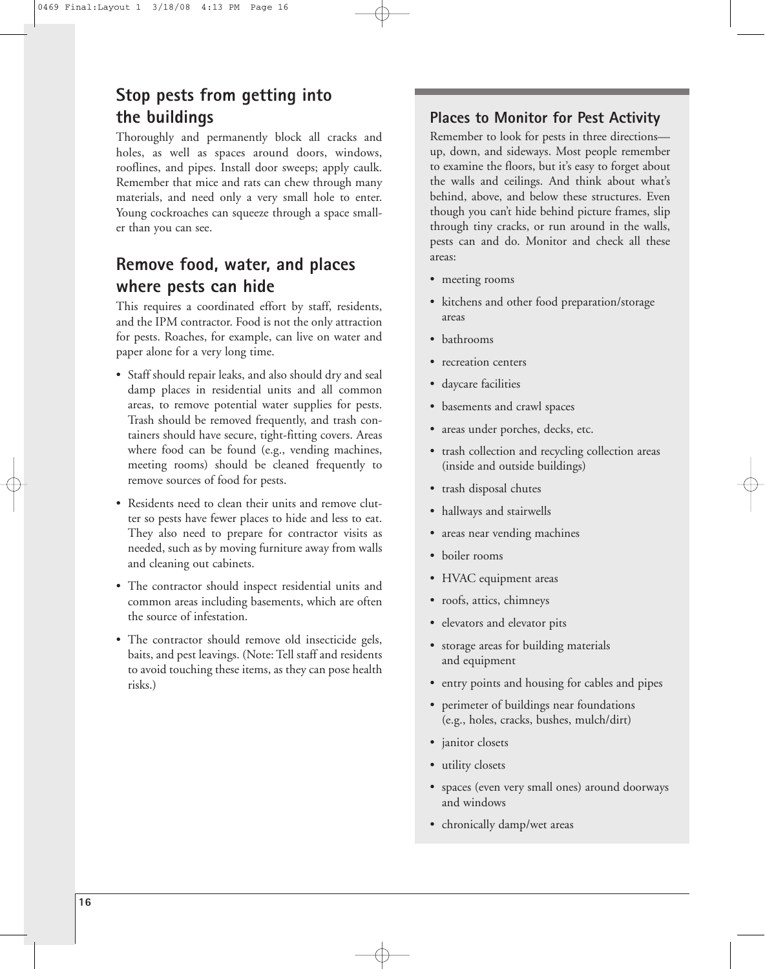## **Stop pests from getting into the buildings**

Thoroughly and permanently block all cracks and holes, as well as spaces around doors, windows, rooflines, and pipes. Install door sweeps; apply caulk. Remember that mice and rats can chew through many materials, and need only a very small hole to enter. Young cockroaches can squeeze through a space smaller than you can see.

## **Remove food, water, and places where pests can hide**

This requires a coordinated effort by staff, residents, and the IPM contractor. Food is not the only attraction for pests. Roaches, for example, can live on water and paper alone for a very long time.

- Staff should repair leaks, and also should dry and seal damp places in residential units and all common areas, to remove potential water supplies for pests. Trash should be removed frequently, and trash containers should have secure, tight-fitting covers. Areas where food can be found (e.g., vending machines, meeting rooms) should be cleaned frequently to remove sources of food for pests.
- Residents need to clean their units and remove clutter so pests have fewer places to hide and less to eat. They also need to prepare for contractor visits as needed, such as by moving furniture away from walls and cleaning out cabinets.
- The contractor should inspect residential units and common areas including basements, which are often the source of infestation.
- The contractor should remove old insecticide gels, baits, and pest leavings. (Note: Tell staff and residents to avoid touching these items, as they can pose health risks.)

#### **Places to Monitor for Pest Activity**

Remember to look for pests in three directions up, down, and sideways. Most people remember to examine the floors, but it's easy to forget about the walls and ceilings. And think about what's behind, above, and below these structures. Even though you can't hide behind picture frames, slip through tiny cracks, or run around in the walls, pests can and do. Monitor and check all these areas:

- meeting rooms
- kitchens and other food preparation/storage areas
- bathrooms
- recreation centers
- daycare facilities
- basements and crawl spaces
- areas under porches, decks, etc.
- trash collection and recycling collection areas (inside and outside buildings)
- trash disposal chutes
- hallways and stairwells
- areas near vending machines
- boiler rooms
- HVAC equipment areas
- roofs, attics, chimneys
- elevators and elevator pits
- storage areas for building materials and equipment
- entry points and housing for cables and pipes
- perimeter of buildings near foundations (e.g., holes, cracks, bushes, mulch/dirt)
- janitor closets
- utility closets
- spaces (even very small ones) around doorways and windows
- chronically damp/wet areas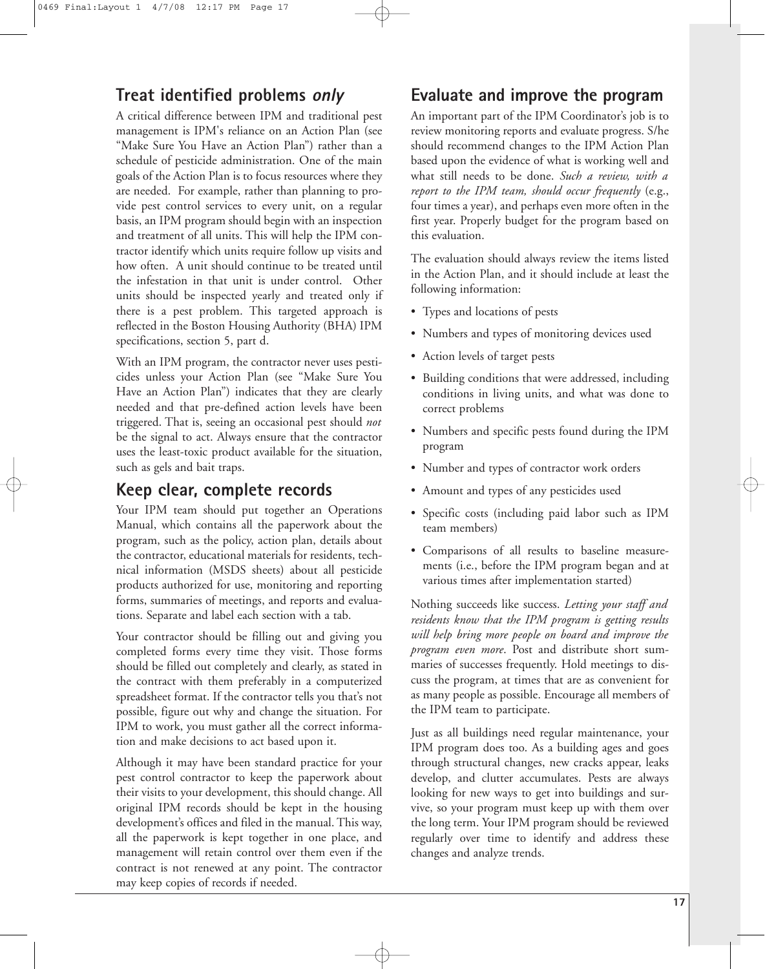## **Treat identified problems only**

A critical difference between IPM and traditional pest management is IPM's reliance on an Action Plan (see "Make Sure You Have an Action Plan") rather than a schedule of pesticide administration. One of the main goals of the Action Plan is to focus resources where they are needed. For example, rather than planning to provide pest control services to every unit, on a regular basis, an IPM program should begin with an inspection and treatment of all units. This will help the IPM contractor identify which units require follow up visits and how often. A unit should continue to be treated until the infestation in that unit is under control. Other units should be inspected yearly and treated only if there is a pest problem. This targeted approach is reflected in the Boston Housing Authority (BHA) IPM specifications, section 5, part d.

With an IPM program, the contractor never uses pesticides unless your Action Plan (see "Make Sure You Have an Action Plan") indicates that they are clearly needed and that pre-defined action levels have been triggered. That is, seeing an occasional pest should *not* be the signal to act. Always ensure that the contractor uses the least-toxic product available for the situation, such as gels and bait traps.

## **Keep clear, complete records**

Your IPM team should put together an Operations Manual, which contains all the paperwork about the program, such as the policy, action plan, details about the contractor, educational materials for residents, technical information (MSDS sheets) about all pesticide products authorized for use, monitoring and reporting forms, summaries of meetings, and reports and evaluations. Separate and label each section with a tab.

Your contractor should be filling out and giving you completed forms every time they visit. Those forms should be filled out completely and clearly, as stated in the contract with them preferably in a computerized spreadsheet format. If the contractor tells you that's not possible, figure out why and change the situation. For IPM to work, you must gather all the correct information and make decisions to act based upon it.

Although it may have been standard practice for your pest control contractor to keep the paperwork about their visits to your development, this should change. All original IPM records should be kept in the housing development's offices and filed in the manual. This way, all the paperwork is kept together in one place, and management will retain control over them even if the contract is not renewed at any point. The contractor may keep copies of records if needed.

## **Evaluate and improve the program**

An important part of the IPM Coordinator's job is to review monitoring reports and evaluate progress. S/he should recommend changes to the IPM Action Plan based upon the evidence of what is working well and what still needs to be done. *Such a review, with a report to the IPM team, should occur frequently* (e.g., four times a year), and perhaps even more often in the first year. Properly budget for the program based on this evaluation.

The evaluation should always review the items listed in the Action Plan, and it should include at least the following information:

- Types and locations of pests
- Numbers and types of monitoring devices used
- Action levels of target pests
- Building conditions that were addressed, including conditions in living units, and what was done to correct problems
- Numbers and specific pests found during the IPM program
- Number and types of contractor work orders
- Amount and types of any pesticides used
- Specific costs (including paid labor such as IPM team members)
- Comparisons of all results to baseline measurements (i.e., before the IPM program began and at various times after implementation started)

Nothing succeeds like success. *Letting your staff and residents know that the IPM program is getting results will help bring more people on board and improve the program even more*. Post and distribute short summaries of successes frequently. Hold meetings to discuss the program, at times that are as convenient for as many people as possible. Encourage all members of the IPM team to participate.

Just as all buildings need regular maintenance, your IPM program does too. As a building ages and goes through structural changes, new cracks appear, leaks develop, and clutter accumulates. Pests are always looking for new ways to get into buildings and survive, so your program must keep up with them over the long term. Your IPM program should be reviewed regularly over time to identify and address these changes and analyze trends.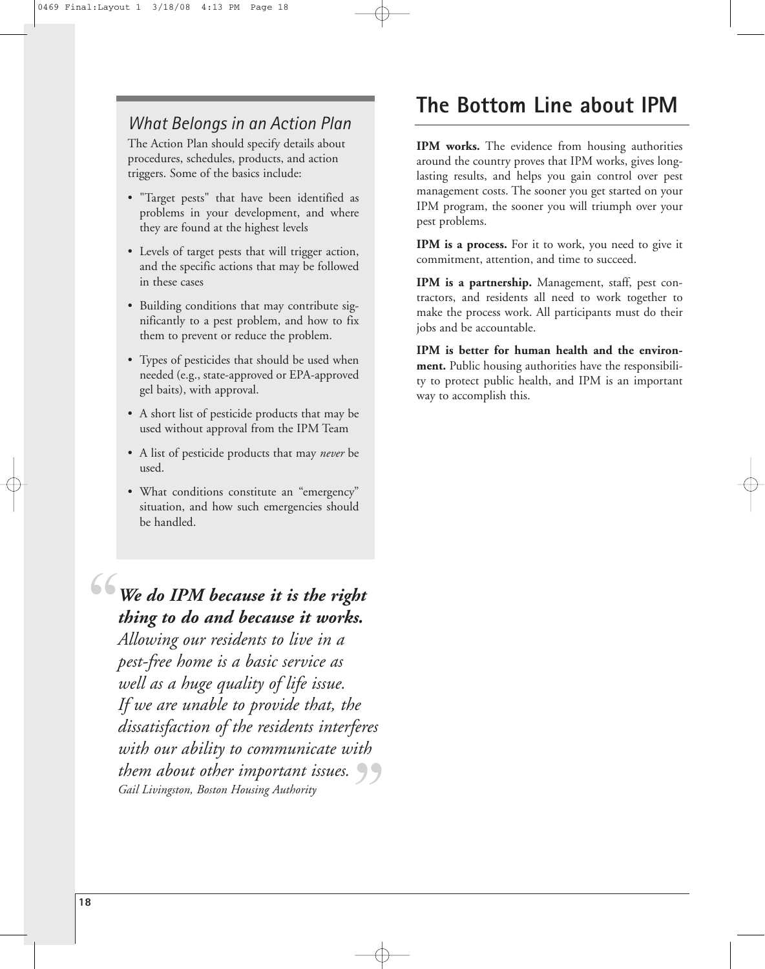## *What Belongs in an Action Plan*

The Action Plan should specify details about procedures, schedules, products, and action triggers. Some of the basics include:

- "Target pests" that have been identified as problems in your development, and where they are found at the highest levels
- Levels of target pests that will trigger action, and the specific actions that may be followed in these cases
- Building conditions that may contribute significantly to a pest problem, and how to fix them to prevent or reduce the problem.
- Types of pesticides that should be used when needed (e.g., state-approved or EPA-approved gel baits), with approval.
- A short list of pesticide products that may be used without approval from the IPM Team
- A list of pesticide products that may *never* be used.
- What conditions constitute an "emergency" situation, and how such emergencies should be handled.

## *We do IPM because it is the right thing to do and because it works. Allowing our residents to live in a* "

*pest-free home is a basic service as well as a huge quality of life issue. If we are unable to provide that, the dissatisfaction of the residents interferes with our ability to communicate with* them about other important issues.<br><sup>Gail Livingston, Boston Housing Authority</sub></sup> *Gail Livingston, Boston Housing Authority*

## **The Bottom Line about IPM**

**IPM works.** The evidence from housing authorities around the country proves that IPM works, gives longlasting results, and helps you gain control over pest management costs. The sooner you get started on your IPM program, the sooner you will triumph over your pest problems.

**IPM is a process.** For it to work, you need to give it commitment, attention, and time to succeed.

**IPM is a partnership.** Management, staff, pest contractors, and residents all need to work together to make the process work. All participants must do their jobs and be accountable.

**IPM is better for human health and the environment.** Public housing authorities have the responsibility to protect public health, and IPM is an important way to accomplish this.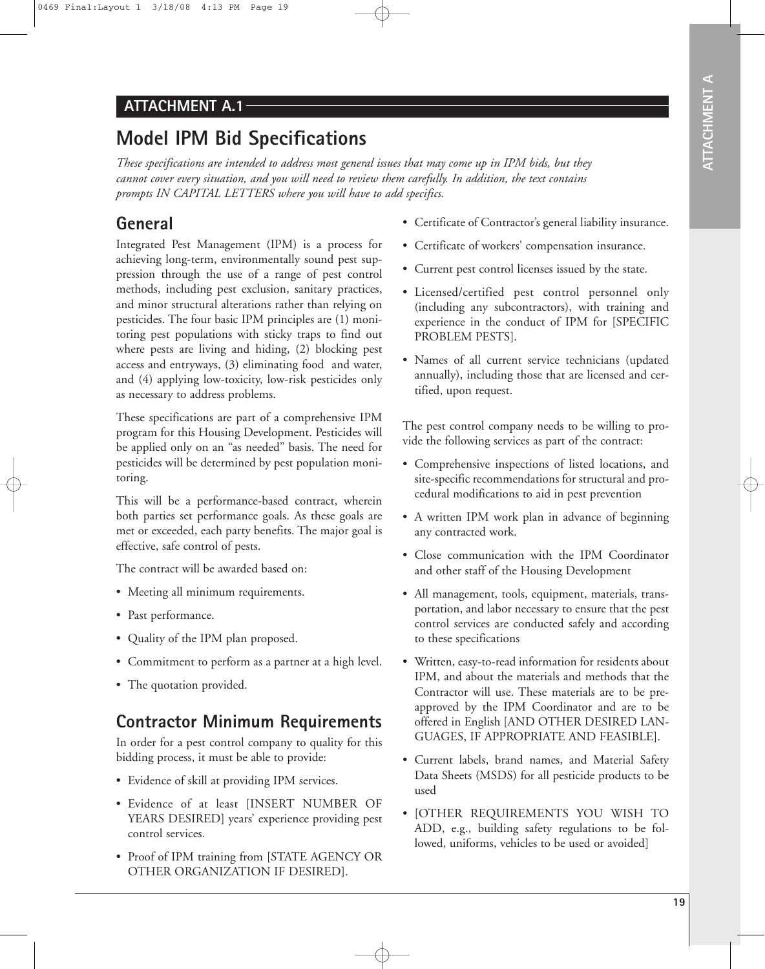### **ATTACHMENT A.1**

## **Model IPM Bid Specifications**

*These specifications are intended to address most general issues that may come up in IPM bids, but they cannot cover every situation, and you will need to review them carefully. In addition, the text contains prompts IN CAPITAL LETTERS where you will have to add specifics.*

## **General**

Integrated Pest Management (IPM) is a process for achieving long-term, environmentally sound pest suppression through the use of a range of pest control methods, including pest exclusion, sanitary practices, and minor structural alterations rather than relying on pesticides. The four basic IPM principles are (1) monitoring pest populations with sticky traps to find out where pests are living and hiding, (2) blocking pest access and entryways, (3) eliminating food and water, and (4) applying low-toxicity, low-risk pesticides only as necessary to address problems.

These specifications are part of a comprehensive IPM program for this Housing Development. Pesticides will be applied only on an "as needed" basis. The need for pesticides will be determined by pest population monitoring.

This will be a performance-based contract, wherein both parties set performance goals. As these goals are met or exceeded, each party benefits. The major goal is effective, safe control of pests.

The contract will be awarded based on:

- Meeting all minimum requirements.
- Past performance.
- Quality of the IPM plan proposed.
- Commitment to perform as a partner at a high level.
- The quotation provided.

## **Contractor Minimum Requirements**

In order for a pest control company to quality for this bidding process, it must be able to provide:

- Evidence of skill at providing IPM services.
- Evidence of at least [INSERT NUMBER OF YEARS DESIRED] years' experience providing pest control services.
- Proof of IPM training from [STATE AGENCY OR OTHER ORGANIZATION IF DESIRED].
- Certificate of Contractor's general liability insurance.
- Certificate of workers' compensation insurance.
- Current pest control licenses issued by the state.
- Licensed/certified pest control personnel only (including any subcontractors), with training and experience in the conduct of IPM for [SPECIFIC PROBLEM PESTS].
- Names of all current service technicians (updated annually), including those that are licensed and certified, upon request.

The pest control company needs to be willing to provide the following services as part of the contract:

- Comprehensive inspections of listed locations, and site-specific recommendations for structural and procedural modifications to aid in pest prevention
- A written IPM work plan in advance of beginning any contracted work.
- Close communication with the IPM Coordinator and other staff of the Housing Development
- All management, tools, equipment, materials, transportation, and labor necessary to ensure that the pest control services are conducted safely and according to these specifications
- Written, easy-to-read information for residents about IPM, and about the materials and methods that the Contractor will use. These materials are to be preapproved by the IPM Coordinator and are to be offered in English [AND OTHER DESIRED LAN-GUAGES, IF APPROPRIATE AND FEASIBLE].
- Current labels, brand names, and Material Safety Data Sheets (MSDS) for all pesticide products to be used
- [OTHER REQUIREMENTS YOU WISH TO ADD, e.g., building safety regulations to be followed, uniforms, vehicles to be used or avoided]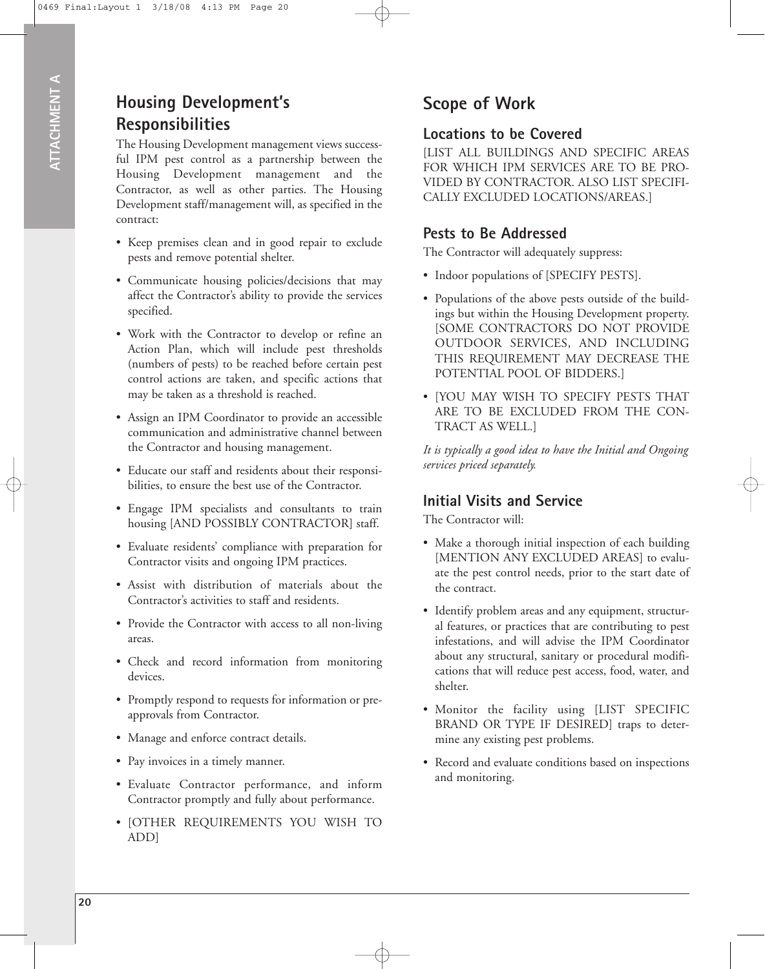## **Housing Development's Responsibilities**

The Housing Development management views successful IPM pest control as a partnership between the Housing Development management and the Contractor, as well as other parties. The Housing Development staff/management will, as specified in the contract:

- Keep premises clean and in good repair to exclude pests and remove potential shelter.
- Communicate housing policies/decisions that may affect the Contractor's ability to provide the services specified.
- Work with the Contractor to develop or refine an Action Plan, which will include pest thresholds (numbers of pests) to be reached before certain pest control actions are taken, and specific actions that may be taken as a threshold is reached.
- Assign an IPM Coordinator to provide an accessible communication and administrative channel between the Contractor and housing management.
- Educate our staff and residents about their responsibilities, to ensure the best use of the Contractor.
- Engage IPM specialists and consultants to train housing [AND POSSIBLY CONTRACTOR] staff.
- Evaluate residents' compliance with preparation for Contractor visits and ongoing IPM practices.
- Assist with distribution of materials about the Contractor's activities to staff and residents.
- Provide the Contractor with access to all non-living areas.
- Check and record information from monitoring devices.
- Promptly respond to requests for information or preapprovals from Contractor.
- Manage and enforce contract details.
- Pay invoices in a timely manner.
- Evaluate Contractor performance, and inform Contractor promptly and fully about performance.
- [OTHER REQUIREMENTS YOU WISH TO ADD]

## **Scope of Work**

### **Locations to be Covered**

[LIST ALL BUILDINGS AND SPECIFIC AREAS FOR WHICH IPM SERVICES ARE TO BE PRO-VIDED BY CONTRACTOR. ALSO LIST SPECIFI-CALLY EXCLUDED LOCATIONS/AREAS.]

### **Pests to Be Addressed**

The Contractor will adequately suppress:

- Indoor populations of [SPECIFY PESTS].
- Populations of the above pests outside of the buildings but within the Housing Development property. [SOME CONTRACTORS DO NOT PROVIDE OUTDOOR SERVICES, AND INCLUDING THIS REQUIREMENT MAY DECREASE THE POTENTIAL POOL OF BIDDERS.]
- [YOU MAY WISH TO SPECIFY PESTS THAT ARE TO BE EXCLUDED FROM THE CON-TRACT AS WELL.]

*It is typically a good idea to have the Initial and Ongoing services priced separately.*

### **Initial Visits and Service**

The Contractor will:

- Make a thorough initial inspection of each building [MENTION ANY EXCLUDED AREAS] to evaluate the pest control needs, prior to the start date of the contract.
- Identify problem areas and any equipment, structural features, or practices that are contributing to pest infestations, and will advise the IPM Coordinator about any structural, sanitary or procedural modifications that will reduce pest access, food, water, and shelter.
- Monitor the facility using [LIST SPECIFIC BRAND OR TYPE IF DESIRED] traps to determine any existing pest problems.
- Record and evaluate conditions based on inspections and monitoring.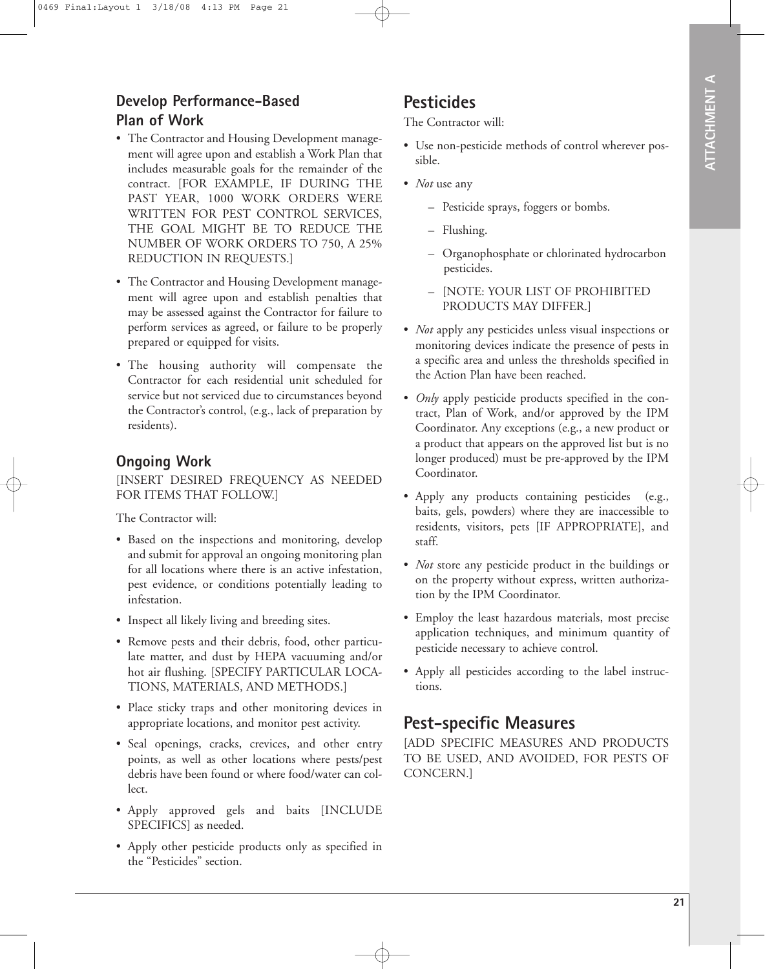### **Develop Performance-Based Plan of Work**

- The Contractor and Housing Development management will agree upon and establish a Work Plan that includes measurable goals for the remainder of the contract. [FOR EXAMPLE, IF DURING THE PAST YEAR, 1000 WORK ORDERS WERE WRITTEN FOR PEST CONTROL SERVICES, THE GOAL MIGHT BE TO REDUCE THE NUMBER OF WORK ORDERS TO 750, A 25% REDUCTION IN REQUESTS.]
- The Contractor and Housing Development management will agree upon and establish penalties that may be assessed against the Contractor for failure to perform services as agreed, or failure to be properly prepared or equipped for visits.
- The housing authority will compensate the Contractor for each residential unit scheduled for service but not serviced due to circumstances beyond the Contractor's control, (e.g., lack of preparation by residents).

### **Ongoing Work**

[INSERT DESIRED FREQUENCY AS NEEDED FOR ITEMS THAT FOLLOW.]

The Contractor will:

- Based on the inspections and monitoring, develop and submit for approval an ongoing monitoring plan for all locations where there is an active infestation, pest evidence, or conditions potentially leading to infestation.
- Inspect all likely living and breeding sites.
- Remove pests and their debris, food, other particulate matter, and dust by HEPA vacuuming and/or hot air flushing. [SPECIFY PARTICULAR LOCA-TIONS, MATERIALS, AND METHODS.]
- Place sticky traps and other monitoring devices in appropriate locations, and monitor pest activity.
- Seal openings, cracks, crevices, and other entry points, as well as other locations where pests/pest debris have been found or where food/water can collect.
- Apply approved gels and baits [INCLUDE SPECIFICS] as needed.
- Apply other pesticide products only as specified in the "Pesticides" section.

## **Pesticides**

The Contractor will:

- Use non-pesticide methods of control wherever possible.
- *Not* use any
	- Pesticide sprays, foggers or bombs.
	- Flushing.
	- Organophosphate or chlorinated hydrocarbon pesticides.
	- [NOTE: YOUR LIST OF PROHIBITED PRODUCTS MAY DIFFER.]
- *Not* apply any pesticides unless visual inspections or monitoring devices indicate the presence of pests in a specific area and unless the thresholds specified in the Action Plan have been reached.
- *Only* apply pesticide products specified in the contract, Plan of Work, and/or approved by the IPM Coordinator. Any exceptions (e.g., a new product or a product that appears on the approved list but is no longer produced) must be pre-approved by the IPM Coordinator.
- Apply any products containing pesticides (e.g., baits, gels, powders) where they are inaccessible to residents, visitors, pets [IF APPROPRIATE], and staff.
- *Not* store any pesticide product in the buildings or on the property without express, written authorization by the IPM Coordinator.
- Employ the least hazardous materials, most precise application techniques, and minimum quantity of pesticide necessary to achieve control.
- Apply all pesticides according to the label instructions.

## **Pest-specific Measures**

[ADD SPECIFIC MEASURES AND PRODUCTS TO BE USED, AND AVOIDED, FOR PESTS OF CONCERN.]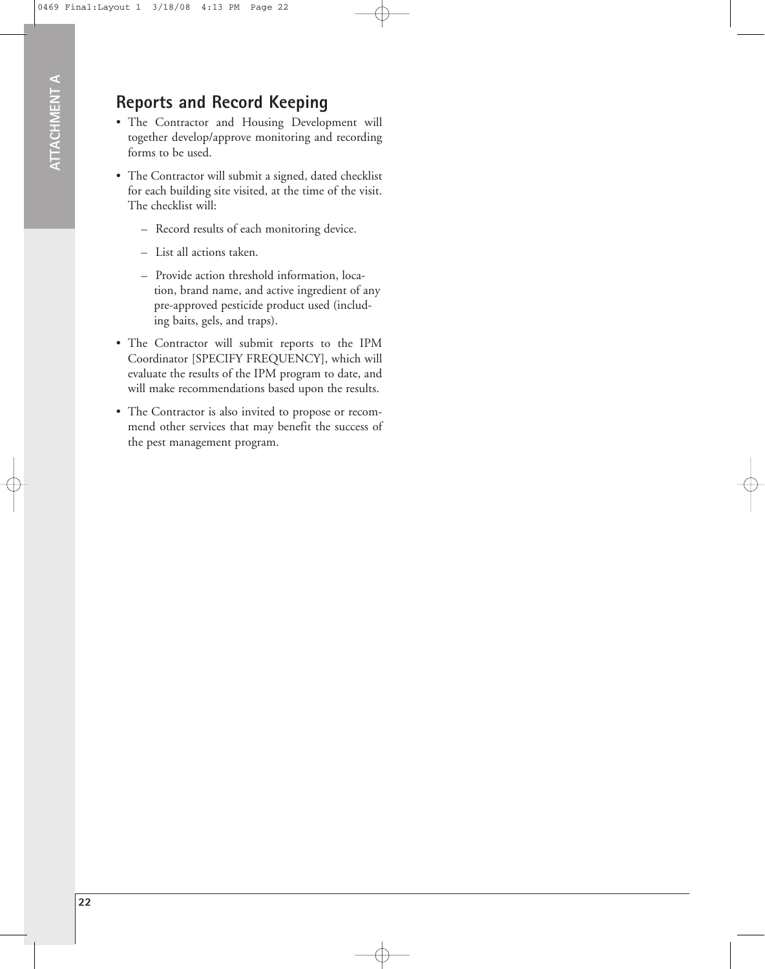## **Reports and Record Keeping**

- The Contractor and Housing Development will together develop/approve monitoring and recording forms to be used.
- The Contractor will submit a signed, dated checklist for each building site visited, at the time of the visit. The checklist will:
	- Record results of each monitoring device.
	- List all actions taken.
	- Provide action threshold information, location, brand name, and active ingredient of any pre-approved pesticide product used (including baits, gels, and traps).
- The Contractor will submit reports to the IPM Coordinator [SPECIFY FREQUENCY], which will evaluate the results of the IPM program to date, and will make recommendations based upon the results.
- The Contractor is also invited to propose or recommend other services that may benefit the success of the pest management program.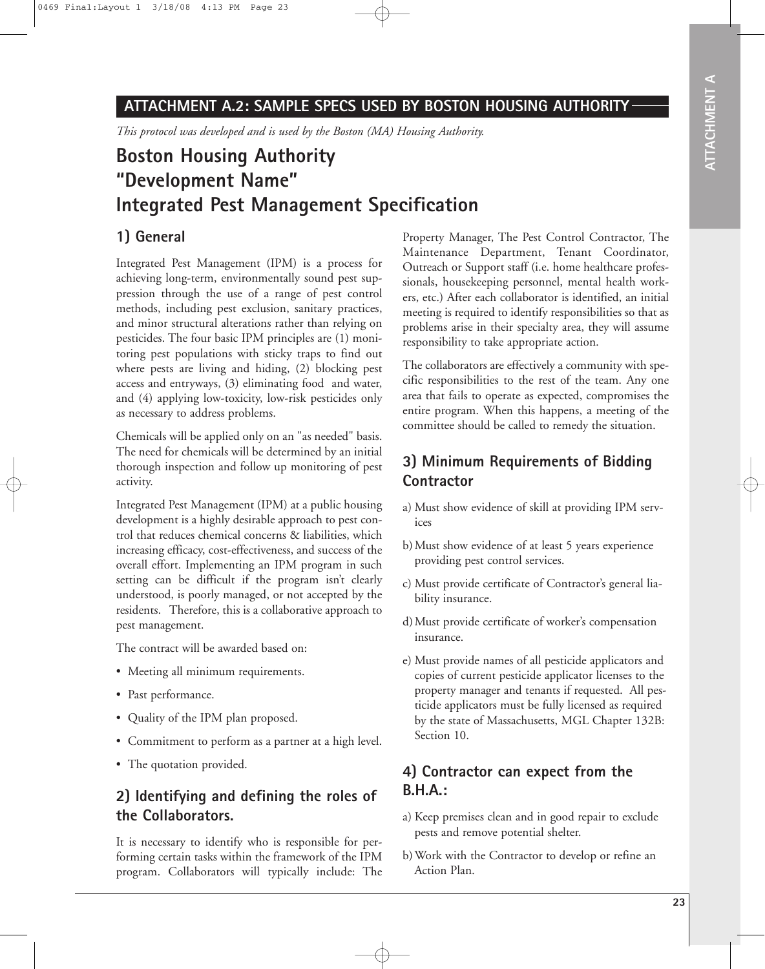### **ATTACHMENT A.2: SAMPLE SPECS USED BY BOSTON HOUSING AUTHORITY**

*This protocol was developed and is used by the Boston (MA) Housing Authority.*

## **Boston Housing Authority "Development Name" Integrated Pest Management Specification**

#### **1) General**

Integrated Pest Management (IPM) is a process for achieving long-term, environmentally sound pest suppression through the use of a range of pest control methods, including pest exclusion, sanitary practices, and minor structural alterations rather than relying on pesticides. The four basic IPM principles are (1) monitoring pest populations with sticky traps to find out where pests are living and hiding, (2) blocking pest access and entryways, (3) eliminating food and water, and (4) applying low-toxicity, low-risk pesticides only as necessary to address problems.

Chemicals will be applied only on an "as needed" basis. The need for chemicals will be determined by an initial thorough inspection and follow up monitoring of pest activity.

Integrated Pest Management (IPM) at a public housing development is a highly desirable approach to pest control that reduces chemical concerns & liabilities, which increasing efficacy, cost-effectiveness, and success of the overall effort. Implementing an IPM program in such setting can be difficult if the program isn't clearly understood, is poorly managed, or not accepted by the residents. Therefore, this is a collaborative approach to pest management.

The contract will be awarded based on:

- Meeting all minimum requirements.
- Past performance.
- Quality of the IPM plan proposed.
- Commitment to perform as a partner at a high level.
- The quotation provided.

#### **2) Identifying and defining the roles of the Collaborators.**

It is necessary to identify who is responsible for performing certain tasks within the framework of the IPM program. Collaborators will typically include: The

Property Manager, The Pest Control Contractor, The Maintenance Department, Tenant Coordinator, Outreach or Support staff (i.e. home healthcare professionals, housekeeping personnel, mental health workers, etc.) After each collaborator is identified, an initial meeting is required to identify responsibilities so that as problems arise in their specialty area, they will assume responsibility to take appropriate action.

The collaborators are effectively a community with specific responsibilities to the rest of the team. Any one area that fails to operate as expected, compromises the entire program. When this happens, a meeting of the committee should be called to remedy the situation.

### **3) Minimum Requirements of Bidding Contractor**

- a) Must show evidence of skill at providing IPM services
- b) Must show evidence of at least 5 years experience providing pest control services.
- c) Must provide certificate of Contractor's general liability insurance.
- d)Must provide certificate of worker's compensation insurance.
- e) Must provide names of all pesticide applicators and copies of current pesticide applicator licenses to the property manager and tenants if requested. All pesticide applicators must be fully licensed as required by the state of Massachusetts, MGL Chapter 132B: Section 10.

### **4) Contractor can expect from the B.H.A.:**

- a) Keep premises clean and in good repair to exclude pests and remove potential shelter.
- b) Work with the Contractor to develop or refine an Action Plan.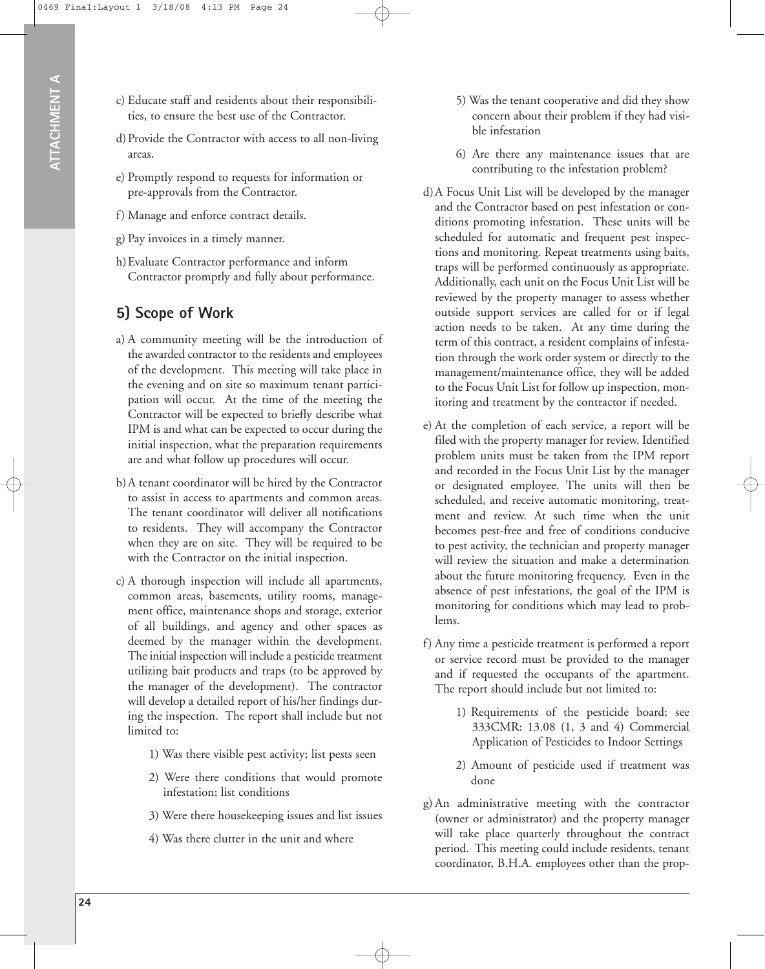- c) Educate staff and residents about their responsibilities, to ensure the best use of the Contractor.
- d)Provide the Contractor with access to all non-living areas.
- e) Promptly respond to requests for information or pre-approvals from the Contractor.
- f) Manage and enforce contract details.
- g) Pay invoices in a timely manner.
- h)Evaluate Contractor performance and inform Contractor promptly and fully about performance.

## **5) Scope of Work**

- a) A community meeting will be the introduction of the awarded contractor to the residents and employees of the development. This meeting will take place in the evening and on site so maximum tenant participation will occur. At the time of the meeting the Contractor will be expected to briefly describe what IPM is and what can be expected to occur during the initial inspection, what the preparation requirements are and what follow up procedures will occur.
- b) A tenant coordinator will be hired by the Contractor to assist in access to apartments and common areas. The tenant coordinator will deliver all notifications to residents. They will accompany the Contractor when they are on site. They will be required to be with the Contractor on the initial inspection.
- c) A thorough inspection will include all apartments, common areas, basements, utility rooms, management office, maintenance shops and storage, exterior of all buildings, and agency and other spaces as deemed by the manager within the development. The initial inspection will include a pesticide treatment utilizing bait products and traps (to be approved by the manager of the development). The contractor will develop a detailed report of his/her findings during the inspection. The report shall include but not limited to:
	- 1) Was there visible pest activity; list pests seen
	- 2) Were there conditions that would promote infestation; list conditions
	- 3) Were there housekeeping issues and list issues
	- 4) Was there clutter in the unit and where
- 5) Was the tenant cooperative and did they show concern about their problem if they had visible infestation
- 6) Are there any maintenance issues that are contributing to the infestation problem?
- d)A Focus Unit List will be developed by the manager and the Contractor based on pest infestation or conditions promoting infestation. These units will be scheduled for automatic and frequent pest inspections and monitoring. Repeat treatments using baits, traps will be performed continuously as appropriate. Additionally, each unit on the Focus Unit List will be reviewed by the property manager to assess whether outside support services are called for or if legal action needs to be taken. At any time during the term of this contract, a resident complains of infestation through the work order system or directly to the management/maintenance office, they will be added to the Focus Unit List for follow up inspection, monitoring and treatment by the contractor if needed.
- e) At the completion of each service, a report will be filed with the property manager for review. Identified problem units must be taken from the IPM report and recorded in the Focus Unit List by the manager or designated employee. The units will then be scheduled, and receive automatic monitoring, treatment and review. At such time when the unit becomes pest-free and free of conditions conducive to pest activity, the technician and property manager will review the situation and make a determination about the future monitoring frequency. Even in the absence of pest infestations, the goal of the IPM is monitoring for conditions which may lead to problems.
- f) Any time a pesticide treatment is performed a report or service record must be provided to the manager and if requested the occupants of the apartment. The report should include but not limited to:
	- 1) Requirements of the pesticide board; see 333CMR: 13.08 (1, 3 and 4) Commercial Application of Pesticides to Indoor Settings
	- 2) Amount of pesticide used if treatment was done
- g) An administrative meeting with the contractor (owner or administrator) and the property manager will take place quarterly throughout the contract period. This meeting could include residents, tenant coordinator, B.H.A. employees other than the prop-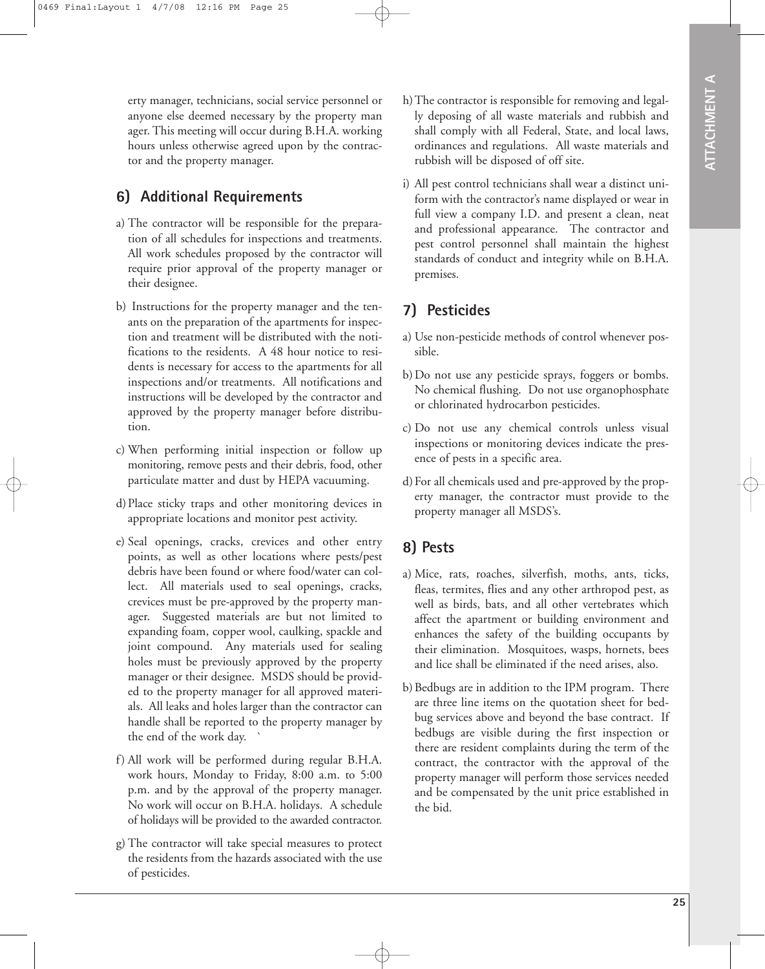erty manager, technicians, social service personnel or anyone else deemed necessary by the property man ager. This meeting will occur during B.H.A. working hours unless otherwise agreed upon by the contractor and the property manager.

#### **6) Additional Requirements**

- a) The contractor will be responsible for the preparation of all schedules for inspections and treatments. All work schedules proposed by the contractor will require prior approval of the property manager or their designee.
- b) Instructions for the property manager and the tenants on the preparation of the apartments for inspection and treatment will be distributed with the notifications to the residents. A 48 hour notice to residents is necessary for access to the apartments for all inspections and/or treatments. All notifications and instructions will be developed by the contractor and approved by the property manager before distribution.
- c) When performing initial inspection or follow up monitoring, remove pests and their debris, food, other particulate matter and dust by HEPA vacuuming.
- d)Place sticky traps and other monitoring devices in appropriate locations and monitor pest activity.
- e) Seal openings, cracks, crevices and other entry points, as well as other locations where pests/pest debris have been found or where food/water can collect. All materials used to seal openings, cracks, crevices must be pre-approved by the property manager. Suggested materials are but not limited to expanding foam, copper wool, caulking, spackle and joint compound. Any materials used for sealing holes must be previously approved by the property manager or their designee. MSDS should be provided to the property manager for all approved materials. All leaks and holes larger than the contractor can handle shall be reported to the property manager by the end of the work day. `
- f) All work will be performed during regular B.H.A. work hours, Monday to Friday, 8:00 a.m. to 5:00 p.m. and by the approval of the property manager. No work will occur on B.H.A. holidays. A schedule of holidays will be provided to the awarded contractor.
- g) The contractor will take special measures to protect the residents from the hazards associated with the use of pesticides.
- h)The contractor is responsible for removing and legally deposing of all waste materials and rubbish and shall comply with all Federal, State, and local laws, ordinances and regulations. All waste materials and rubbish will be disposed of off site.
- i) All pest control technicians shall wear a distinct uniform with the contractor's name displayed or wear in full view a company I.D. and present a clean, neat and professional appearance. The contractor and pest control personnel shall maintain the highest standards of conduct and integrity while on B.H.A. premises.

### **7) Pesticides**

- a) Use non-pesticide methods of control whenever possible.
- b) Do not use any pesticide sprays, foggers or bombs. No chemical flushing. Do not use organophosphate or chlorinated hydrocarbon pesticides.
- c) Do not use any chemical controls unless visual inspections or monitoring devices indicate the presence of pests in a specific area.
- d)For all chemicals used and pre-approved by the property manager, the contractor must provide to the property manager all MSDS's.

### **8) Pests**

- a) Mice, rats, roaches, silverfish, moths, ants, ticks, fleas, termites, flies and any other arthropod pest, as well as birds, bats, and all other vertebrates which affect the apartment or building environment and enhances the safety of the building occupants by their elimination. Mosquitoes, wasps, hornets, bees and lice shall be eliminated if the need arises, also.
- b) Bedbugs are in addition to the IPM program. There are three line items on the quotation sheet for bedbug services above and beyond the base contract. If bedbugs are visible during the first inspection or there are resident complaints during the term of the contract, the contractor with the approval of the property manager will perform those services needed and be compensated by the unit price established in the bid.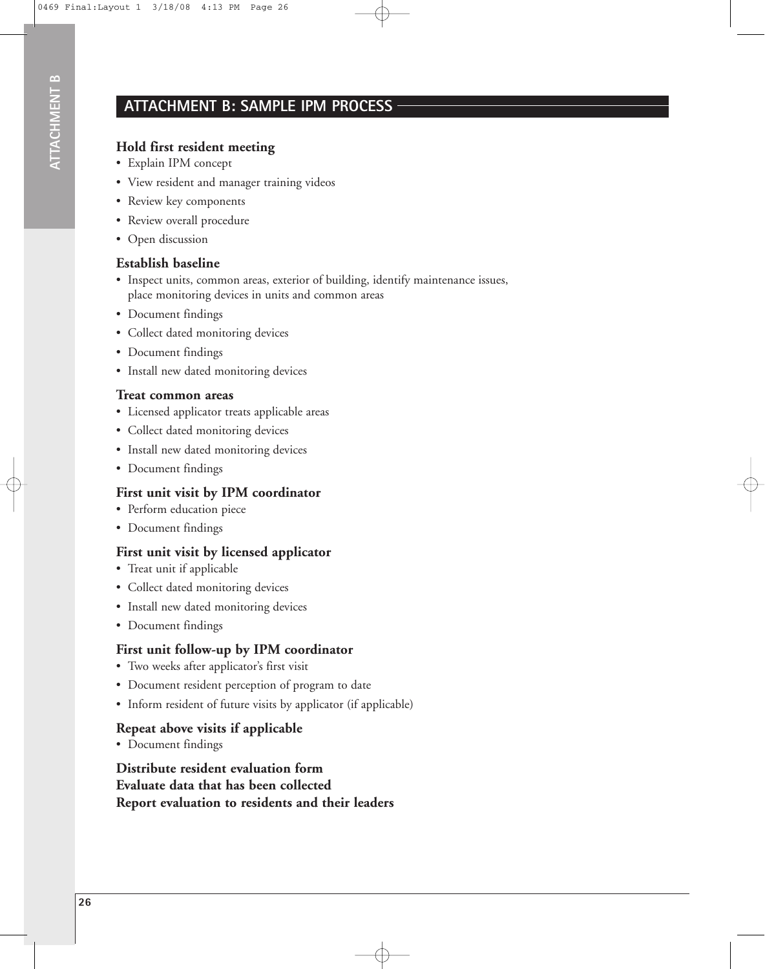### **ATTACHMENT B: SAMPLE IPM PROCESS**

#### **Hold first resident meeting**

- Explain IPM concept
- View resident and manager training videos
- Review key components
- Review overall procedure
- Open discussion

#### **Establish baseline**

- Inspect units, common areas, exterior of building, identify maintenance issues, place monitoring devices in units and common areas
- Document findings
- Collect dated monitoring devices
- Document findings
- Install new dated monitoring devices

#### **Treat common areas**

- Licensed applicator treats applicable areas
- Collect dated monitoring devices
- Install new dated monitoring devices
- Document findings

#### **First unit visit by IPM coordinator**

- Perform education piece
- Document findings

#### **First unit visit by licensed applicator**

- Treat unit if applicable
- Collect dated monitoring devices
- Install new dated monitoring devices
- Document findings

#### **First unit follow-up by IPM coordinator**

- Two weeks after applicator's first visit
- Document resident perception of program to date
- Inform resident of future visits by applicator (if applicable)

#### **Repeat above visits if applicable**

• Document findings

**Distribute resident evaluation form Evaluate data that has been collected Report evaluation to residents and their leaders**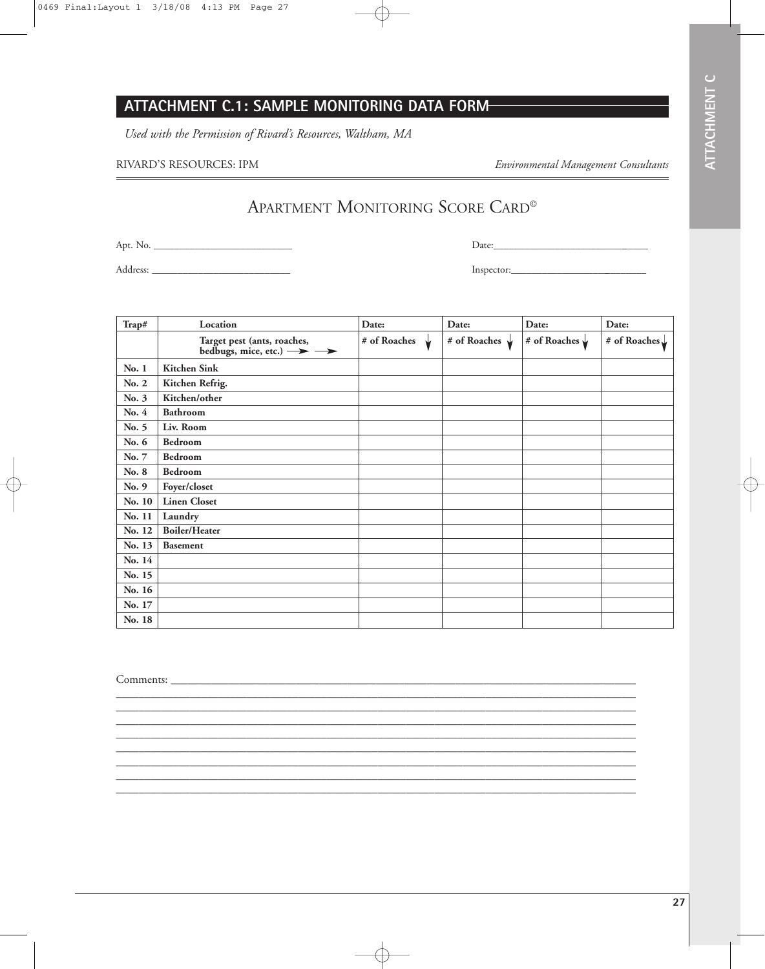**27**

## **ATTACHMENT C.1: SAMPLE MONITORING DATA FORM**

*Used with the Permission of Rivard's Resources, Waltham, MA*

#### RIVARD'S RESOURCES: IPM *Environmental Management Consultants*

APARTMENT MONITORING SCORE CARD©

Apt. No. \_\_\_\_\_\_\_\_\_\_\_\_\_\_\_\_\_\_\_\_\_\_\_\_\_\_\_

Address: \_\_\_\_\_\_\_\_\_\_\_\_\_\_\_\_\_\_\_\_\_\_\_\_\_\_\_

Inspector:\_\_\_\_\_\_\_\_\_\_\_\_\_\_\_\_\_\_\_\_\_\_\_\_\_\_\_

| Trap#  | Location                                                              | Date:                  | Date:                  | Date:                  | Date:                    |
|--------|-----------------------------------------------------------------------|------------------------|------------------------|------------------------|--------------------------|
|        | Target pest (ants, roaches,<br>bedbugs, mice, etc.) $\longrightarrow$ | # of Roaches $\sqrt{}$ | # of Roaches $\sqrt{}$ | # of Roaches $\sqrt{}$ | # of Roaches $\sqrt{\ }$ |
| No. 1  | <b>Kitchen Sink</b>                                                   |                        |                        |                        |                          |
| No. 2  | Kitchen Refrig.                                                       |                        |                        |                        |                          |
| No. 3  | Kitchen/other                                                         |                        |                        |                        |                          |
| No. 4  | <b>Bathroom</b>                                                       |                        |                        |                        |                          |
| No. 5  | Liv. Room                                                             |                        |                        |                        |                          |
| No. 6  | Bedroom                                                               |                        |                        |                        |                          |
| No. 7  | Bedroom                                                               |                        |                        |                        |                          |
| No. 8  | Bedroom                                                               |                        |                        |                        |                          |
| No. 9  | Foyer/closet                                                          |                        |                        |                        |                          |
| No. 10 | <b>Linen Closet</b>                                                   |                        |                        |                        |                          |
| No. 11 | Laundry                                                               |                        |                        |                        |                          |
| No. 12 | <b>Boiler/Heater</b>                                                  |                        |                        |                        |                          |
| No. 13 | <b>Basement</b>                                                       |                        |                        |                        |                          |
| No. 14 |                                                                       |                        |                        |                        |                          |
| No. 15 |                                                                       |                        |                        |                        |                          |
| No. 16 |                                                                       |                        |                        |                        |                          |
| No. 17 |                                                                       |                        |                        |                        |                          |
| No. 18 |                                                                       |                        |                        |                        |                          |

\_\_\_\_\_\_\_\_\_\_\_\_\_\_\_\_\_\_\_\_\_\_\_\_\_\_\_\_\_\_\_\_\_\_\_\_\_\_\_\_\_\_\_\_\_\_\_\_\_\_\_\_\_\_\_\_\_\_\_\_\_\_\_\_\_\_\_\_\_\_\_\_\_\_\_\_\_\_\_\_\_\_\_\_\_\_\_\_\_\_\_\_\_ \_\_\_\_\_\_\_\_\_\_\_\_\_\_\_\_\_\_\_\_\_\_\_\_\_\_\_\_\_\_\_\_\_\_\_\_\_\_\_\_\_\_\_\_\_\_\_\_\_\_\_\_\_\_\_\_\_\_\_\_\_\_\_\_\_\_\_\_\_\_\_\_\_\_\_\_\_\_\_\_\_\_\_\_\_\_\_\_\_\_\_\_\_ \_\_\_\_\_\_\_\_\_\_\_\_\_\_\_\_\_\_\_\_\_\_\_\_\_\_\_\_\_\_\_\_\_\_\_\_\_\_\_\_\_\_\_\_\_\_\_\_\_\_\_\_\_\_\_\_\_\_\_\_\_\_\_\_\_\_\_\_\_\_\_\_\_\_\_\_\_\_\_\_\_\_\_\_\_\_\_\_\_\_\_\_\_ \_\_\_\_\_\_\_\_\_\_\_\_\_\_\_\_\_\_\_\_\_\_\_\_\_\_\_\_\_\_\_\_\_\_\_\_\_\_\_\_\_\_\_\_\_\_\_\_\_\_\_\_\_\_\_\_\_\_\_\_\_\_\_\_\_\_\_\_\_\_\_\_\_\_\_\_\_\_\_\_\_\_\_\_\_\_\_\_\_\_\_\_\_ \_\_\_\_\_\_\_\_\_\_\_\_\_\_\_\_\_\_\_\_\_\_\_\_\_\_\_\_\_\_\_\_\_\_\_\_\_\_\_\_\_\_\_\_\_\_\_\_\_\_\_\_\_\_\_\_\_\_\_\_\_\_\_\_\_\_\_\_\_\_\_\_\_\_\_\_\_\_\_\_\_\_\_\_\_\_\_\_\_\_\_\_\_ \_\_\_\_\_\_\_\_\_\_\_\_\_\_\_\_\_\_\_\_\_\_\_\_\_\_\_\_\_\_\_\_\_\_\_\_\_\_\_\_\_\_\_\_\_\_\_\_\_\_\_\_\_\_\_\_\_\_\_\_\_\_\_\_\_\_\_\_\_\_\_\_\_\_\_\_\_\_\_\_\_\_\_\_\_\_\_\_\_\_\_\_\_ \_\_\_\_\_\_\_\_\_\_\_\_\_\_\_\_\_\_\_\_\_\_\_\_\_\_\_\_\_\_\_\_\_\_\_\_\_\_\_\_\_\_\_\_\_\_\_\_\_\_\_\_\_\_\_\_\_\_\_\_\_\_\_\_\_\_\_\_\_\_\_\_\_\_\_\_\_\_\_\_\_\_\_\_\_\_\_\_\_\_\_\_\_ \_\_\_\_\_\_\_\_\_\_\_\_\_\_\_\_\_\_\_\_\_\_\_\_\_\_\_\_\_\_\_\_\_\_\_\_\_\_\_\_\_\_\_\_\_\_\_\_\_\_\_\_\_\_\_\_\_\_\_\_\_\_\_\_\_\_\_\_\_\_\_\_\_\_\_\_\_\_\_\_\_\_\_\_\_\_\_\_\_\_\_\_\_

Comments: \_\_\_\_\_\_\_\_\_\_\_\_\_\_\_\_\_\_\_\_\_\_\_\_\_\_\_\_\_\_\_\_\_\_\_\_\_\_\_\_\_\_\_\_\_\_\_\_\_\_\_\_\_\_\_\_\_\_\_\_\_\_\_\_\_\_\_\_\_\_\_\_\_\_\_\_\_\_\_\_\_\_\_

Date:\_\_\_\_\_\_\_\_\_\_\_\_\_\_\_\_\_\_\_\_\_\_\_\_\_\_\_\_\_\_\_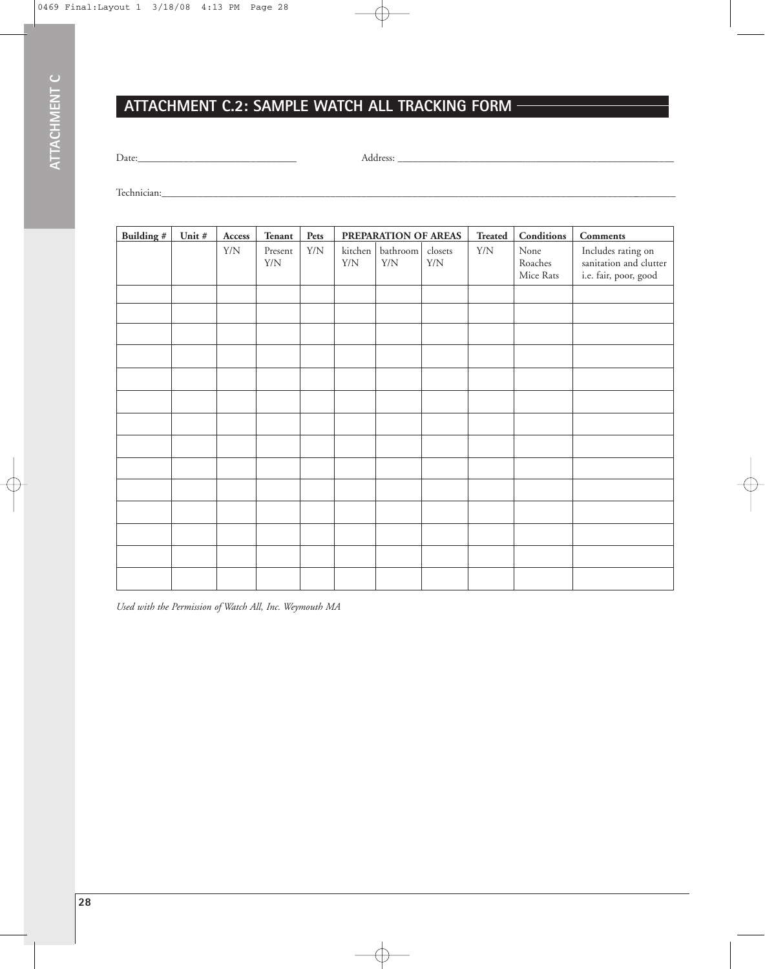## **ATTACHMENT C.2: SAMPLE WATCH ALL TRACKING FORM**

Date:\_\_\_\_\_\_\_\_\_\_\_\_\_\_\_\_\_\_\_\_\_\_\_\_\_\_\_\_\_\_\_ Address: \_\_\_\_\_\_\_\_\_\_\_\_\_\_\_\_\_\_\_\_\_\_\_\_\_\_\_\_\_\_\_\_\_\_\_\_\_\_\_\_\_\_\_\_\_\_\_\_\_\_\_\_\_\_

Technician:\_\_\_\_\_\_\_\_\_\_\_\_\_\_\_\_\_\_\_\_\_\_\_\_\_\_\_\_\_\_\_\_\_\_\_\_\_\_\_\_\_\_\_\_\_\_\_\_\_\_\_\_\_\_\_\_\_\_\_\_\_\_\_\_\_\_\_\_\_\_\_\_\_\_\_\_\_\_\_\_\_\_\_\_\_\_\_\_\_\_\_\_\_\_\_\_\_\_\_\_\_

| Building # | Unit # | Access      | <b>Tenant</b>          | Pets        |                        | PREPARATION OF AREAS    |                        | <b>Treated</b> | Conditions                   | Comments                                                              |
|------------|--------|-------------|------------------------|-------------|------------------------|-------------------------|------------------------|----------------|------------------------------|-----------------------------------------------------------------------|
|            |        | ${\rm Y/N}$ | Present<br>${\rm Y/N}$ | ${\rm Y/N}$ | kitchen<br>${\rm Y/N}$ | bathroom<br>${\rm Y/N}$ | closets<br>${\rm Y/N}$ | ${\rm Y/N}$    | None<br>Roaches<br>Mice Rats | Includes rating on<br>sanitation and clutter<br>i.e. fair, poor, good |
|            |        |             |                        |             |                        |                         |                        |                |                              |                                                                       |
|            |        |             |                        |             |                        |                         |                        |                |                              |                                                                       |
|            |        |             |                        |             |                        |                         |                        |                |                              |                                                                       |
|            |        |             |                        |             |                        |                         |                        |                |                              |                                                                       |
|            |        |             |                        |             |                        |                         |                        |                |                              |                                                                       |
|            |        |             |                        |             |                        |                         |                        |                |                              |                                                                       |
|            |        |             |                        |             |                        |                         |                        |                |                              |                                                                       |
|            |        |             |                        |             |                        |                         |                        |                |                              |                                                                       |
|            |        |             |                        |             |                        |                         |                        |                |                              |                                                                       |
|            |        |             |                        |             |                        |                         |                        |                |                              |                                                                       |
|            |        |             |                        |             |                        |                         |                        |                |                              |                                                                       |
|            |        |             |                        |             |                        |                         |                        |                |                              |                                                                       |
|            |        |             |                        |             |                        |                         |                        |                |                              |                                                                       |
|            |        |             |                        |             |                        |                         |                        |                |                              |                                                                       |

*Used with the Permission of Watch All, Inc. Weymouth MA*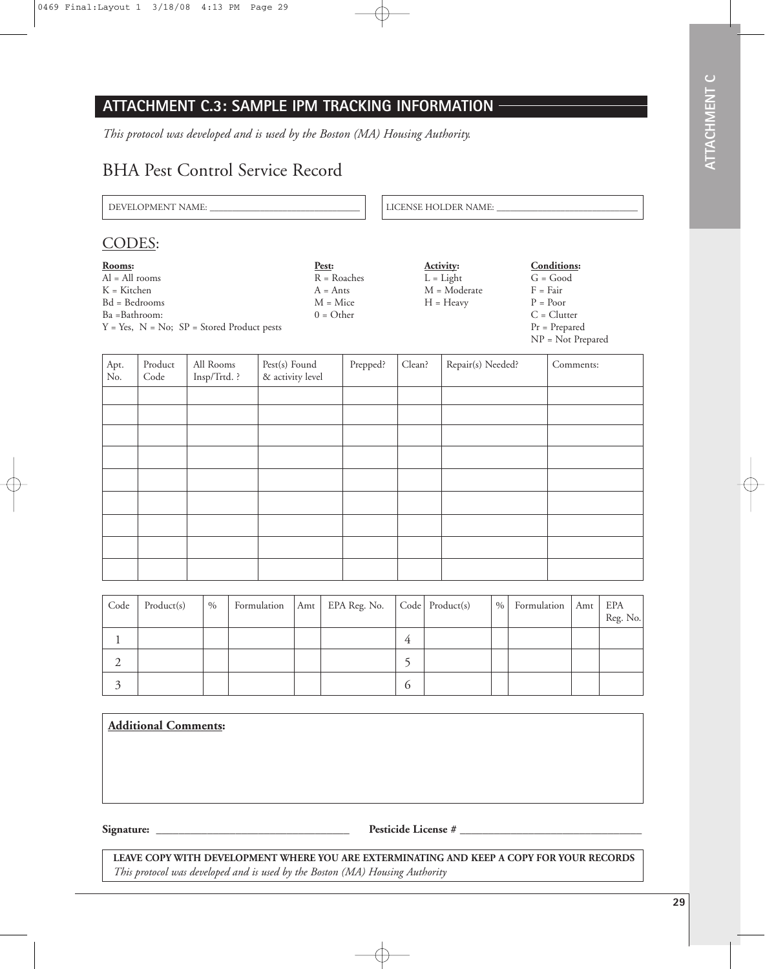## **ATTACHMENT C.3: SAMPLE IPM TRACKING INFORMATION**

*This protocol was developed and is used by the Boston (MA) Housing Authority.*

## BHA Pest Control Service Record

DEVELOPMENT NAME: \_\_\_\_\_\_\_\_\_\_\_\_\_\_\_\_\_\_\_\_\_\_\_\_\_\_\_\_\_\_\_\_\_ LICENSE HOLDER NAME: \_\_\_\_\_\_\_\_\_\_\_\_\_\_\_\_\_\_\_\_\_\_\_\_\_\_\_\_\_\_\_

#### CODES:

| Rooms:                                             | Pest:         | <b>Activity:</b> | <b>Conditions:</b>  |
|----------------------------------------------------|---------------|------------------|---------------------|
| $Al = All$ rooms                                   | $R = Roaches$ | $L = Light$      | $G = Good$          |
| K = Kitchen                                        | $A = Ants$    | M = Moderate     | $F = Fair$          |
| Bd = Bedrooms                                      | $M = Mice$    | $H = Heavy$      | $P = Poor$          |
| Ba =Bathroom:                                      | $0 = Other$   |                  | $C = Clutter$       |
| $Y = Yes$ , $N = No$ ; $SP = Stored Product pests$ |               |                  | $Pr = Prepared$     |
|                                                    |               |                  | $NP = Not$ Prepared |

| Apt.<br>No. | Product<br>Code | All Rooms<br>Insp/Trtd. ? | Pest(s) Found<br>& activity level | Prepped? | Clean? | Repair(s) Needed? | Comments: |
|-------------|-----------------|---------------------------|-----------------------------------|----------|--------|-------------------|-----------|
|             |                 |                           |                                   |          |        |                   |           |
|             |                 |                           |                                   |          |        |                   |           |
|             |                 |                           |                                   |          |        |                   |           |
|             |                 |                           |                                   |          |        |                   |           |
|             |                 |                           |                                   |          |        |                   |           |
|             |                 |                           |                                   |          |        |                   |           |
|             |                 |                           |                                   |          |        |                   |           |
|             |                 |                           |                                   |          |        |                   |           |
|             |                 |                           |                                   |          |        |                   |           |

| Code | Product(s) | $\%$ |  | Formulation   Amt   EPA Reg. No.   Code   Product(s) |   | $\%$ | Formulation | Amt | EPA<br>Reg. No. |
|------|------------|------|--|------------------------------------------------------|---|------|-------------|-----|-----------------|
|      |            |      |  |                                                      | 4 |      |             |     |                 |
|      |            |      |  |                                                      |   |      |             |     |                 |
|      |            |      |  |                                                      | O |      |             |     |                 |

| <b>Additional Comments:</b> |                     |
|-----------------------------|---------------------|
|                             |                     |
|                             |                     |
|                             |                     |
| Signature:                  | Pesticide License # |

**LEAVE COPY WITH DEVELOPMENT WHERE YOU ARE EXTERMINATING AND KEEP A COPY FOR YOUR RECORDS** *This protocol was developed and is used by the Boston (MA) Housing Authority*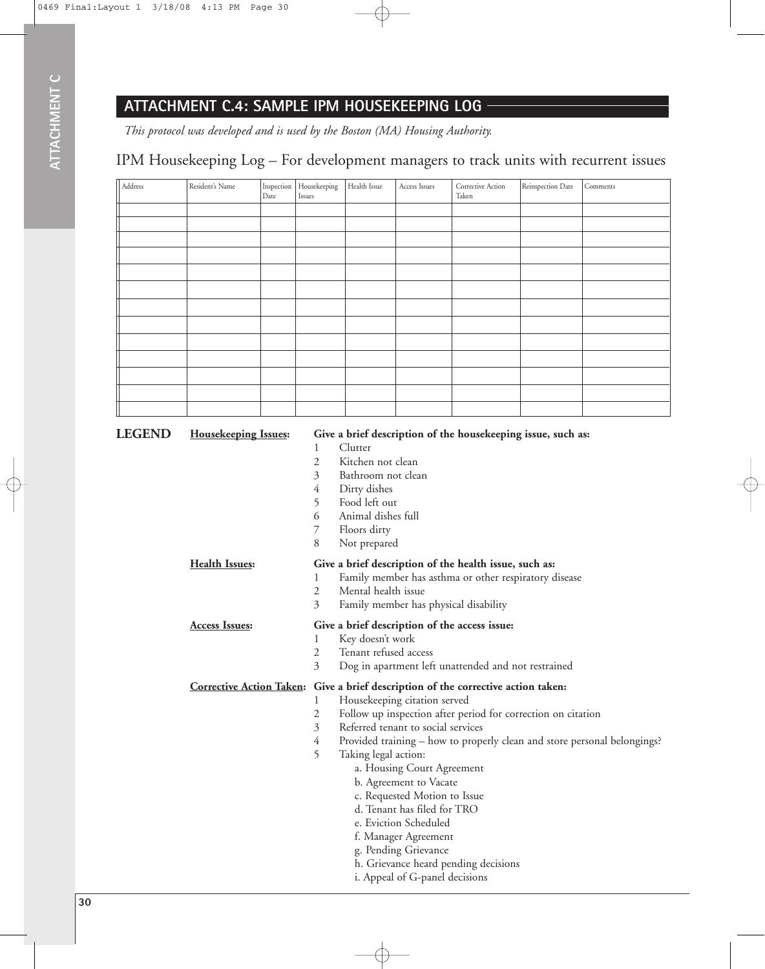## **ATTACHMENT C.4: SAMPLE IPM HOUSEKEEPING LOG**

*This protocol was developed and is used by the Boston (MA) Housing Authority.*

## IPM Housekeeping Log – For development managers to track units with recurrent issues

| Address | Resident's Name | Inspection<br>Date | $\rm Housekeeping$<br>Issues | Health Issue | Access Issues | Corrective Action<br>Taken | Reinspection Date | Comments |
|---------|-----------------|--------------------|------------------------------|--------------|---------------|----------------------------|-------------------|----------|
|         |                 |                    |                              |              |               |                            |                   |          |
|         |                 |                    |                              |              |               |                            |                   |          |
|         |                 |                    |                              |              |               |                            |                   |          |
|         |                 |                    |                              |              |               |                            |                   |          |
|         |                 |                    |                              |              |               |                            |                   |          |
|         |                 |                    |                              |              |               |                            |                   |          |
|         |                 |                    |                              |              |               |                            |                   |          |
|         |                 |                    |                              |              |               |                            |                   |          |
|         |                 |                    |                              |              |               |                            |                   |          |
|         |                 |                    |                              |              |               |                            |                   |          |
|         |                 |                    |                              |              |               |                            |                   |          |
|         |                 |                    |                              |              |               |                            |                   |          |
|         |                 |                    |                              |              |               |                            |                   |          |

| <b>LEGEND</b> | <b>Housekeeping Issues:</b>     | Give a brief description of the housekeeping issue, such as:<br>Clutter<br>1<br>Kitchen not clean<br>2<br>3<br>Bathroom not clean<br>4<br>Dirty dishes<br>5<br>Food left out<br>6<br>Animal dishes full<br>7<br>Floors dirty                                                                                                                                                                                                                                                                                                                                                                          |
|---------------|---------------------------------|-------------------------------------------------------------------------------------------------------------------------------------------------------------------------------------------------------------------------------------------------------------------------------------------------------------------------------------------------------------------------------------------------------------------------------------------------------------------------------------------------------------------------------------------------------------------------------------------------------|
|               | <b>Health Issues:</b>           | 8<br>Not prepared<br>Give a brief description of the health issue, such as:<br>Family member has asthma or other respiratory disease<br>1<br>$\mathfrak{2}$<br>Mental health issue<br>3<br>Family member has physical disability                                                                                                                                                                                                                                                                                                                                                                      |
|               | <b>Access Issues:</b>           | Give a brief description of the access issue:<br>Key doesn't work<br>1<br>Tenant refused access<br>2<br>3<br>Dog in apartment left unattended and not restrained                                                                                                                                                                                                                                                                                                                                                                                                                                      |
|               | <b>Corrective Action Taken:</b> | Give a brief description of the corrective action taken:<br>Housekeeping citation served<br>1<br>2<br>Follow up inspection after period for correction on citation<br>3<br>Referred tenant to social services<br>4<br>Provided training – how to properly clean and store personal belongings?<br>5<br>Taking legal action:<br>a. Housing Court Agreement<br>b. Agreement to Vacate<br>c. Requested Motion to Issue<br>d. Tenant has filed for TRO<br>e. Eviction Scheduled<br>f. Manager Agreement<br>g. Pending Grievance<br>h. Grievance heard pending decisions<br>i. Appeal of G-panel decisions |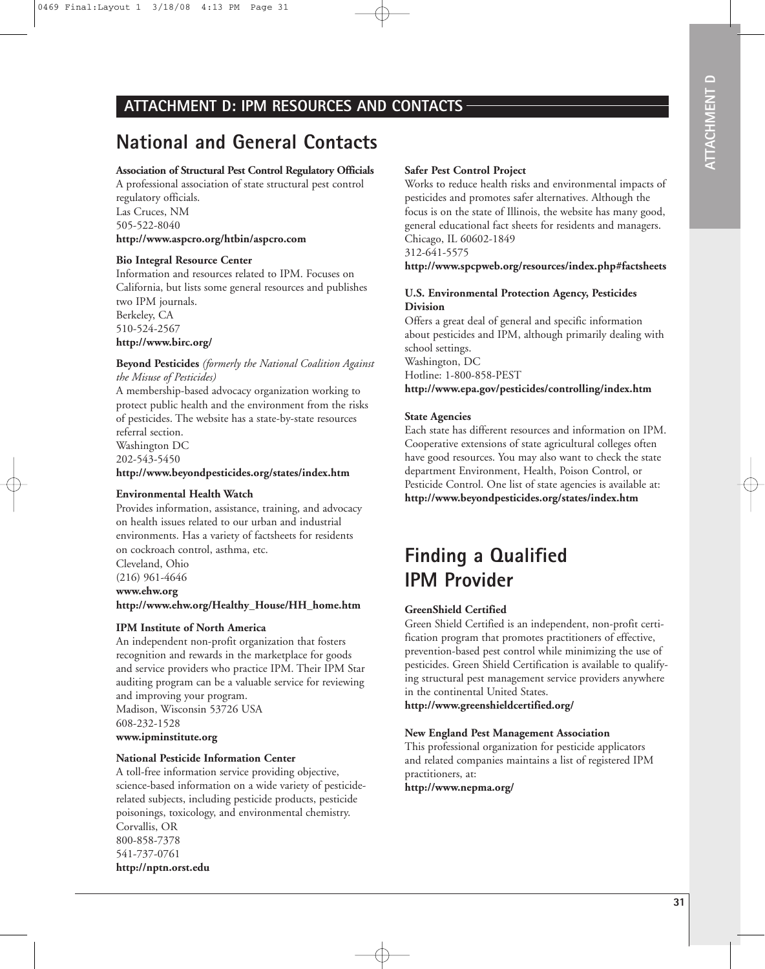#### **ATTACHMENT D: IPM RESOURCES AND CONTACTS**

## **National and General Contacts**

#### **Association of Structural Pest Control Regulatory Officials**

A professional association of state structural pest control regulatory officials. Las Cruces, NM

505-522-8040

#### **http://www.aspcro.org/htbin/aspcro.com**

#### **Bio Integral Resource Center**

Information and resources related to IPM. Focuses on California, but lists some general resources and publishes two IPM journals. Berkeley, CA 510-524-2567

**http://www.birc.org/**

#### **Beyond Pesticides** *(formerly the National Coalition Against the Misuse of Pesticides)*

A membership-based advocacy organization working to protect public health and the environment from the risks of pesticides. The website has a state-by-state resources referral section. Washington DC 202-543-5450

**http://www.beyondpesticides.org/states/index.htm**

#### **Environmental Health Watch**

Provides information, assistance, training, and advocacy on health issues related to our urban and industrial environments. Has a variety of factsheets for residents on cockroach control, asthma, etc.

Cleveland, Ohio

(216) 961-4646

**www.ehw.org http://www.ehw.org/Healthy\_House/HH\_home.htm**

#### **IPM Institute of North America**

An independent non-profit organization that fosters recognition and rewards in the marketplace for goods and service providers who practice IPM. Their IPM Star auditing program can be a valuable service for reviewing and improving your program. Madison, Wisconsin 53726 USA 608-232-1528

#### **www.ipminstitute.org**

#### **National Pesticide Information Center**

A toll-free information service providing objective, science-based information on a wide variety of pesticiderelated subjects, including pesticide products, pesticide poisonings, toxicology, and environmental chemistry. Corvallis, OR 800-858-7378 541-737-0761 **http://nptn.orst.edu**

#### **Safer Pest Control Project**

Works to reduce health risks and environmental impacts of pesticides and promotes safer alternatives. Although the focus is on the state of Illinois, the website has many good, general educational fact sheets for residents and managers. Chicago, IL 60602-1849

312-641-5575

**http://www.spcpweb.org/resources/index.php#factsheets**

#### **U.S. Environmental Protection Agency, Pesticides Division**

Offers a great deal of general and specific information about pesticides and IPM, although primarily dealing with school settings.

Washington, DC Hotline: 1-800-858-PEST

**http://www.epa.gov/pesticides/controlling/index.htm**

#### **State Agencies**

Each state has different resources and information on IPM. Cooperative extensions of state agricultural colleges often have good resources. You may also want to check the state department Environment, Health, Poison Control, or Pesticide Control. One list of state agencies is available at: **http://www.beyondpesticides.org/states/index.htm**

## **Finding a Qualified IPM Provider**

#### **GreenShield Certified**

Green Shield Certified is an independent, non-profit certification program that promotes practitioners of effective, prevention-based pest control while minimizing the use of pesticides. Green Shield Certification is available to qualifying structural pest management service providers anywhere in the continental United States.

**http://www.greenshieldcertified.org/**

#### **New England Pest Management Association**

This professional organization for pesticide applicators and related companies maintains a list of registered IPM practitioners, at:

**http://www.nepma.org/**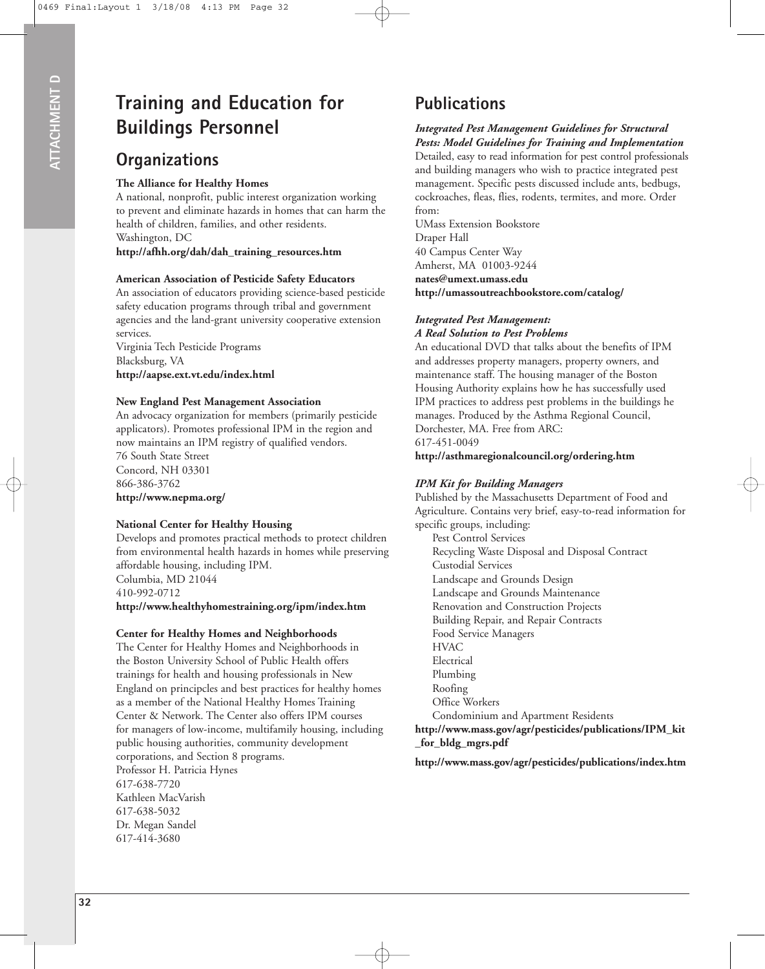## **Training and Education for Buildings Personnel**

## **Organizations**

#### **The Alliance for Healthy Homes**

A national, nonprofit, public interest organization working to prevent and eliminate hazards in homes that can harm the health of children, families, and other residents. Washington, DC

**http://afhh.org/dah/dah\_training\_resources.htm**

#### **American Association of Pesticide Safety Educators**

An association of educators providing science-based pesticide safety education programs through tribal and government agencies and the land-grant university cooperative extension services.

Virginia Tech Pesticide Programs Blacksburg, VA **http://aapse.ext.vt.edu/index.html**

#### **New England Pest Management Association**

An advocacy organization for members (primarily pesticide applicators). Promotes professional IPM in the region and now maintains an IPM registry of qualified vendors. 76 South State Street

Concord, NH 03301 866-386-3762 **http://www.nepma.org/**

#### **National Center for Healthy Housing**

Develops and promotes practical methods to protect children from environmental health hazards in homes while preserving affordable housing, including IPM. Columbia, MD 21044 410-992-0712 **http://www.healthyhomestraining.org/ipm/index.htm**

#### **Center for Healthy Homes and Neighborhoods**

The Center for Healthy Homes and Neighborhoods in the Boston University School of Public Health offers trainings for health and housing professionals in New England on principcles and best practices for healthy homes as a member of the National Healthy Homes Training Center & Network. The Center also offers IPM courses for managers of low-income, multifamily housing, including public housing authorities, community development corporations, and Section 8 programs. Professor H. Patricia Hynes 617-638-7720 Kathleen MacVarish 617-638-5032 Dr. Megan Sandel 617-414-3680

## **Publications**

#### *Integrated Pest Management Guidelines for Structural Pests: Model Guidelines for Training and Implementation*

Detailed, easy to read information for pest control professionals and building managers who wish to practice integrated pest management. Specific pests discussed include ants, bedbugs, cockroaches, fleas, flies, rodents, termites, and more. Order from:

UMass Extension Bookstore Draper Hall 40 Campus Center Way Amherst, MA 01003-9244 **nates@umext.umass.edu http://umassoutreachbookstore.com/catalog/**

#### *Integrated Pest Management: A Real Solution to Pest Problems*

An educational DVD that talks about the benefits of IPM and addresses property managers, property owners, and maintenance staff. The housing manager of the Boston Housing Authority explains how he has successfully used IPM practices to address pest problems in the buildings he manages. Produced by the Asthma Regional Council, Dorchester, MA. Free from ARC: 617-451-0049

**http://asthmaregionalcouncil.org/ordering.htm**

#### *IPM Kit for Building Managers*

Published by the Massachusetts Department of Food and Agriculture. Contains very brief, easy-to-read information for specific groups, including:

Pest Control Services Recycling Waste Disposal and Disposal Contract Custodial Services Landscape and Grounds Design Landscape and Grounds Maintenance Renovation and Construction Projects Building Repair, and Repair Contracts Food Service Managers **HVAC** Electrical Plumbing Roofing Office Workers Condominium and Apartment Residents **http://www.mass.gov/agr/pesticides/publications/IPM\_kit**

**\_for\_bldg\_mgrs.pdf**

**http://www.mass.gov/agr/pesticides/publications/index.htm**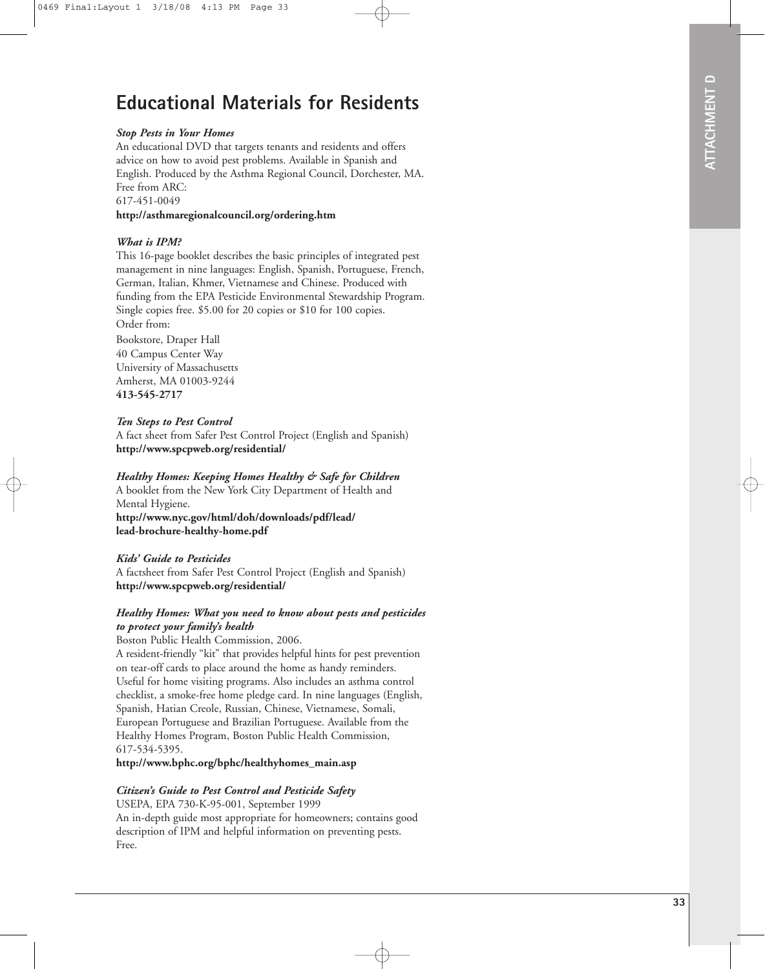## **Educational Materials for Residents**

#### *Stop Pests in Your Homes*

An educational DVD that targets tenants and residents and offers advice on how to avoid pest problems. Available in Spanish and English. Produced by the Asthma Regional Council, Dorchester, MA. Free from ARC: 617-451-0049 **http://asthmaregionalcouncil.org/ordering.htm**

## *What is IPM?*

This 16-page booklet describes the basic principles of integrated pest management in nine languages: English, Spanish, Portuguese, French, German, Italian, Khmer, Vietnamese and Chinese. Produced with funding from the EPA Pesticide Environmental Stewardship Program. Single copies free. \$5.00 for 20 copies or \$10 for 100 copies. Order from:

Bookstore, Draper Hall 40 Campus Center Way University of Massachusetts Amherst, MA 01003-9244 **413-545-2717**

#### *Ten Steps to Pest Control*

A fact sheet from Safer Pest Control Project (English and Spanish) **http://www.spcpweb.org/residential/**

#### *Healthy Homes: Keeping Homes Healthy & Safe for Children*

A booklet from the New York City Department of Health and Mental Hygiene.

**http://www.nyc.gov/html/doh/downloads/pdf/lead/ lead-brochure-healthy-home.pdf**

#### *Kids' Guide to Pesticides*

A factsheet from Safer Pest Control Project (English and Spanish) **http://www.spcpweb.org/residential/**

#### *Healthy Homes: What you need to know about pests and pesticides to protect your family's health*

Boston Public Health Commission, 2006.

A resident-friendly "kit" that provides helpful hints for pest prevention on tear-off cards to place around the home as handy reminders. Useful for home visiting programs. Also includes an asthma control checklist, a smoke-free home pledge card. In nine languages (English, Spanish, Hatian Creole, Russian, Chinese, Vietnamese, Somali, European Portuguese and Brazilian Portuguese. Available from the Healthy Homes Program, Boston Public Health Commission, 617-534-5395.

**http://www.bphc.org/bphc/healthyhomes\_main.asp**

#### *Citizen's Guide to Pest Control and Pesticide Safety*

USEPA, EPA 730-K-95-001, September 1999 An in-depth guide most appropriate for homeowners; contains good description of IPM and helpful information on preventing pests. Free.